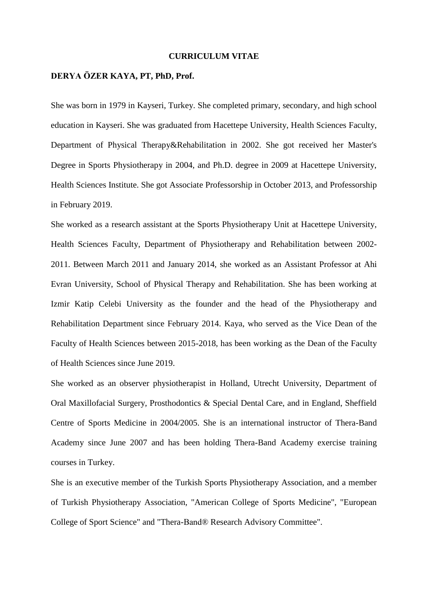#### **CURRICULUM VITAE**

## **DERYA ÖZER KAYA, PT, PhD, Prof.**

She was born in 1979 in Kayseri, Turkey. She completed primary, secondary, and high school education in Kayseri. She was graduated from Hacettepe University, Health Sciences Faculty, Department of Physical Therapy&Rehabilitation in 2002. She got received her Master's Degree in Sports Physiotherapy in 2004, and Ph.D. degree in 2009 at Hacettepe University, Health Sciences Institute. She got Associate Professorship in October 2013, and Professorship in February 2019.

She worked as a research assistant at the Sports Physiotherapy Unit at Hacettepe University, Health Sciences Faculty, Department of Physiotherapy and Rehabilitation between 2002- 2011. Between March 2011 and January 2014, she worked as an Assistant Professor at Ahi Evran University, School of Physical Therapy and Rehabilitation. She has been working at Izmir Katip Celebi University as the founder and the head of the Physiotherapy and Rehabilitation Department since February 2014. Kaya, who served as the Vice Dean of the Faculty of Health Sciences between 2015-2018, has been working as the Dean of the Faculty of Health Sciences since June 2019.

She worked as an observer physiotherapist in Holland, Utrecht University, Department of Oral Maxillofacial Surgery, Prosthodontics & Special Dental Care, and in England, Sheffield Centre of Sports Medicine in 2004/2005. She is an international instructor of Thera-Band Academy since June 2007 and has been holding Thera-Band Academy exercise training courses in Turkey.

She is an executive member of the Turkish Sports Physiotherapy Association, and a member of Turkish Physiotherapy Association, "American College of Sports Medicine", "European College of Sport Science" and "Thera-Band® Research Advisory Committee".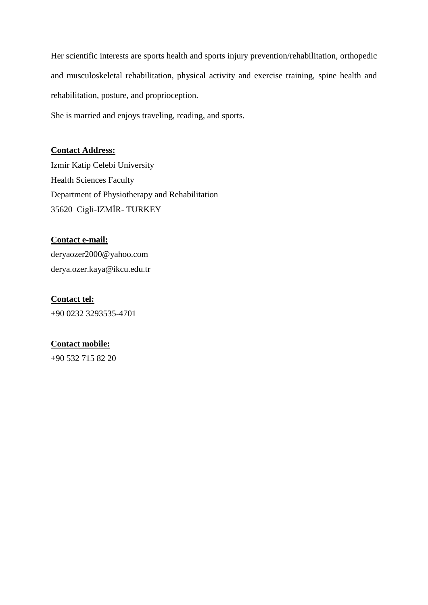Her scientific interests are sports health and sports injury prevention/rehabilitation, orthopedic and musculoskeletal rehabilitation, physical activity and exercise training, spine health and rehabilitation, posture, and proprioception.

She is married and enjoys traveling, reading, and sports.

## **Contact Address:**

Izmir Katip Celebi University Health Sciences Faculty Department of Physiotherapy and Rehabilitation 35620 Cigli-IZMİR- TURKEY

## **Contact e-mail:**

[deryaozer2000@yahoo.com](mailto:deryaozer2000@yahoo.com) derya.ozer.kaya@ikcu.edu.tr

**Contact tel:** +90 0232 3293535-4701

## **Contact mobile:**

+90 532 715 82 20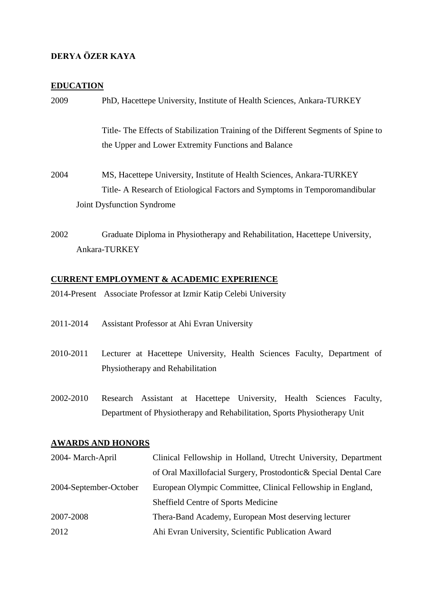# **DERYA ÖZER KAYA**

## **EDUCATION**

| 2009      | PhD, Hacettepe University, Institute of Health Sciences, Ankara-TURKEY                                                                                                           |
|-----------|----------------------------------------------------------------------------------------------------------------------------------------------------------------------------------|
|           | Title-The Effects of Stabilization Training of the Different Segments of Spine to<br>the Upper and Lower Extremity Functions and Balance                                         |
| 2004      | MS, Hacettepe University, Institute of Health Sciences, Ankara-TURKEY<br>Title-A Research of Etiological Factors and Symptoms in Temporomandibular<br>Joint Dysfunction Syndrome |
|           |                                                                                                                                                                                  |
| 2002      | Graduate Diploma in Physiotherapy and Rehabilitation, Hacettepe University,<br>Ankara-TURKEY                                                                                     |
|           | <b>CURRENT EMPLOYMENT &amp; ACADEMIC EXPERIENCE</b>                                                                                                                              |
|           | 2014-Present Associate Professor at Izmir Katip Celebi University                                                                                                                |
| 2011-2014 | Assistant Professor at Ahi Evran University                                                                                                                                      |
| 2010-2011 | Lecturer at Hacettepe University, Health Sciences Faculty, Department of<br>Physiotherapy and Rehabilitation                                                                     |

2002-2010 Research Assistant at Hacettepe University, Health Sciences Faculty, Department of Physiotherapy and Rehabilitation, Sports Physiotherapy Unit

## **AWARDS AND HONORS**

| 2004- March-April      | Clinical Fellowship in Holland, Utrecht University, Department    |
|------------------------|-------------------------------------------------------------------|
|                        | of Oral Maxillofacial Surgery, Prostodontic & Special Dental Care |
| 2004-September-October | European Olympic Committee, Clinical Fellowship in England,       |
|                        | Sheffield Centre of Sports Medicine                               |
| 2007-2008              | Thera-Band Academy, European Most deserving lecturer              |
| 2012                   | Ahi Evran University, Scientific Publication Award                |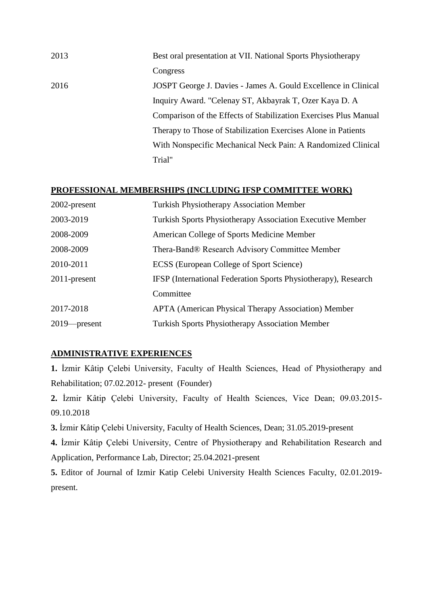| 2013 | Best oral presentation at VII. National Sports Physiotherapy     |
|------|------------------------------------------------------------------|
|      | Congress                                                         |
| 2016 | JOSPT George J. Davies - James A. Gould Excellence in Clinical   |
|      | Inquiry Award. "Celenay ST, Akbayrak T, Ozer Kaya D. A           |
|      | Comparison of the Effects of Stabilization Exercises Plus Manual |
|      | Therapy to Those of Stabilization Exercises Alone in Patients    |
|      | With Nonspecific Mechanical Neck Pain: A Randomized Clinical     |
|      | Trial"                                                           |

#### **PROFESSIONAL MEMBERSHIPS (INCLUDING IFSP COMMITTEE WORK)**

| 2002-present    | <b>Turkish Physiotherapy Association Member</b>                  |
|-----------------|------------------------------------------------------------------|
| 2003-2019       | <b>Turkish Sports Physiotherapy Association Executive Member</b> |
| 2008-2009       | American College of Sports Medicine Member                       |
| 2008-2009       | Thera-Band® Research Advisory Committee Member                   |
| 2010-2011       | ECSS (European College of Sport Science)                         |
| 2011-present    | IFSP (International Federation Sports Physiotherapy), Research   |
|                 | Committee                                                        |
| 2017-2018       | <b>APTA</b> (American Physical Therapy Association) Member       |
| $2019$ -present | <b>Turkish Sports Physiotherapy Association Member</b>           |

## **ADMINISTRATIVE EXPERIENCES**

**1.** İzmir Kâtip Çelebi University, Faculty of Health Sciences, Head of Physiotherapy and Rehabilitation; 07.02.2012- present (Founder)

**2.** İzmir Kâtip Çelebi University, Faculty of Health Sciences, Vice Dean; 09.03.2015- 09.10.2018

**3.** İzmir Kâtip Çelebi University, Faculty of Health Sciences, Dean; 31.05.2019-present

**4.** İzmir Kâtip Çelebi University, Centre of Physiotherapy and Rehabilitation Research and Application, Performance Lab, Director; 25.04.2021-present

**5.** Editor of Journal of Izmir Katip Celebi University Health Sciences Faculty, 02.01.2019 present.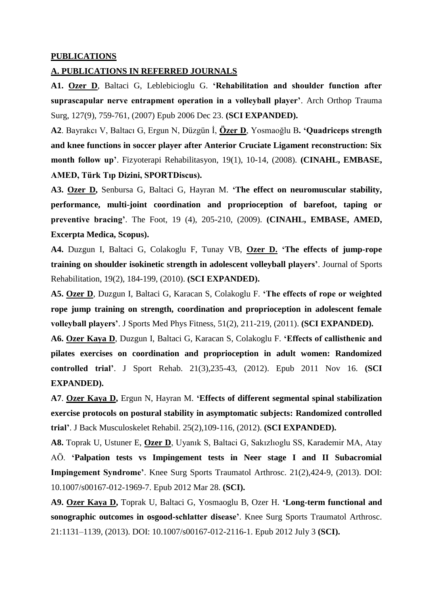#### **PUBLICATIONS**

#### **A. PUBLICATIONS IN REFERRED JOURNALS**

**A1. [Ozer](http://www.ncbi.nlm.nih.gov/sites/entrez?Db=pubmed&Cmd=ShowDetailView&TermToSearch=17187259&ordinalpos=2&itool=EntrezSystem2.PEntrez.Pubmed.Pubmed_ResultsPanel.Pubmed_RVDocSum) D**, Baltaci G, Leblebicioglu G. **'Rehabilitation and shoulder function after suprascapular nerve entrapment operation in a volleyball player'**. Arch Orthop Trauma Surg, 127(9), 759-761, (2007) Epub 2006 Dec 23. **(SCI EXPANDED).**

**A2**. Bayrakcı V, Baltacı G, Ergun N, Düzgün İ, **Özer D**, Yosmaoğlu B**. 'Quadriceps strength and knee functions in soccer player after Anterior Cruciate Ligament reconstruction: Six month follow up'**. Fizyoterapi Rehabilitasyon, 19(1), 10-14, (2008). **(CINAHL, EMBASE, AMED, Türk Tıp Dizini, SPORTDiscus).**

**A3. Ozer D,** Senbursa G, Baltaci G, Hayran M. **'The effect on neuromuscular stability, performance, multi-joint coordination and proprioception of barefoot, taping or preventive bracing'**. The Foot, 19 (4), 205-210, (2009). **(CINAHL, EMBASE, AMED, Excerpta Medica, Scopus).**

**A4.** Duzgun I, Baltaci G, Colakoglu F, Tunay VB, **Ozer D. 'The effects of jump-rope training on shoulder isokinetic strength in adolescent volleyball players'**. Journal of Sports Rehabilitation, 19(2), 184-199, (2010). **(SCI EXPANDED).**

**A5. Ozer D**, Duzgun I, Baltaci G, Karacan S, Colakoglu F. **'The effects of rope or weighted rope jump training on strength, coordination and proprioception in adolescent female volleyball players'**. J Sports Med Phys Fitness, 51(2), 211-219, (2011). **(SCI EXPANDED).**

**A6. Ozer Kaya D**, Duzgun I, Baltaci G, Karacan S, Colakoglu F. **'Effects of callisthenic and pilates exercises on coordination and proprioception in adult women: Randomized controlled trial'**. J Sport Rehab. 21(3),235-43, (2012). Epub 2011 Nov 16. **(SCI EXPANDED).**

**A7**. **Ozer Kaya D,** Ergun N, Hayran M. **'Effects of different segmental spinal stabilization exercise protocols on postural stability in asymptomatic subjects: Randomized controlled trial'**. J Back Musculoskelet Rehabil. 25(2),109-116, (2012). **(SCI EXPANDED).** 

**A8.** Toprak U, Ustuner E, **Ozer D**, Uyanık S, Baltaci G, Sakızlıoglu SS, Karademir MA, Atay AÖ. **'Palpation tests vs Impingement tests in Neer stage I and II Subacromial Impingement Syndrome'**. Knee Surg Sports Traumatol Arthrosc. 21(2),424-9, (2013). DOI: 10.1007/s00167-012-1969-7. Epub 2012 Mar 28. **(SCI).**

**A9. Ozer Kaya D,** Toprak U, Baltaci G, Yosmaoglu B, Ozer H. **'Long-term functional and sonographic outcomes in osgood-schlatter disease'**. Knee Surg Sports Traumatol Arthrosc. 21:1131–1139, (2013). DOI: 10.1007/s00167-012-2116-1. Epub 2012 July 3 **(SCI).**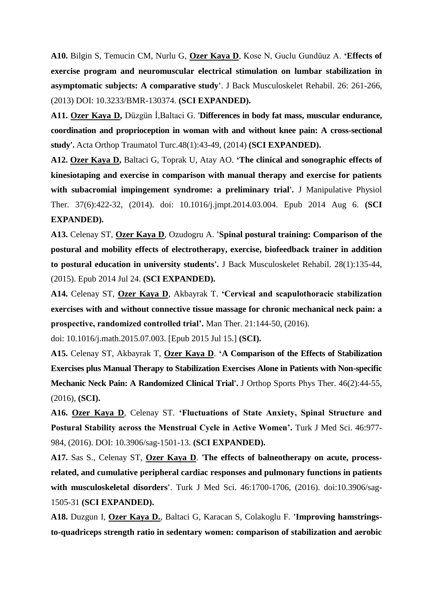**A10.** Bilgin S, Temucin CM, Nurlu G, **Ozer Kaya D**, Kose N, Guclu Gundüuz A. **'Effects of exercise program and neuromuscular electrical stimulation on lumbar stabilization in asymptomatic subjects: A comparative study'**. J Back Musculoskelet Rehabil. 26: 261-266, (2013) DOI: 10.3233/BMR-130374. **(SCI EXPANDED).**

**A11. Ozer Kaya D,** Düzgün İ,Baltaci G. '**Differences in body fat mass, muscular endurance, coordination and proprioception in woman with and without knee pain: A cross-sectional study'.** Acta Orthop Traumatol Turc.48(1):43-49, (2014) **(SCI EXPANDED).** 

**A12. Ozer Kaya D,** Baltaci G, Toprak U, Atay AO. **['The clinical and sonographic effects of](http://www.ncbi.nlm.nih.gov/pubmed/25108752)  [kinesiotaping and exercise in comparison with manual therapy and exercise for patients](http://www.ncbi.nlm.nih.gov/pubmed/25108752)  [with subacromial impingement syndrome: a preliminary trial'.](http://www.ncbi.nlm.nih.gov/pubmed/25108752)** J Manipulative Physiol Ther. 37(6):422-32, (2014). doi: 10.1016/j.jmpt.2014.03.004. Epub 2014 Aug 6. **(SCI EXPANDED).**

**A13.** Celenay ST, **Ozer Kaya D**, Ozudogru A. **['Spinal postural training: Comparison of the](http://www.ncbi.nlm.nih.gov/pubmed/25061037)  [postural and mobility effects of electrotherapy, exercise, biofeedback trainer in addition](http://www.ncbi.nlm.nih.gov/pubmed/25061037)  [to postural education in university students'.](http://www.ncbi.nlm.nih.gov/pubmed/25061037)** J Back Musculoskelet Rehabil. 28(1):135-44, (2015). Epub 2014 Jul 24. **(SCI EXPANDED).**

**A14.** Celenay ST, **Ozer Kaya D**, Akbayrak T. **'Cervical and scapulothoracic stabilization exercises with and without connective tissue massage for chronic mechanical neck pain: a prospective, randomized controlled trial'.** Man Ther. 21:144-50, (2016).

doi: 10.1016/j.math.2015.07.003. [Epub 2015 Jul 15.] **(SCI).**

**A15.** Celenay ST, Akbayrak T, **Ozer Kaya D**. **'A Comparison of the Effects of Stabilization Exercises plus Manual Therapy to Stabilization Exercises Alone in Patients with Non-specific Mechanic Neck Pain: A Randomized Clinical Trial'.** J Orthop Sports Phys Ther. 46(2):44-55, (2016), **(SCI).**

**A16. Ozer Kaya D**, Celenay ST. **'Fluctuations of State Anxiety, Spinal Structure and Postural Stability across the Menstrual Cycle in Active Women'.** Turk J Med Sci. 46:977- 984, (2016). DOI: 10.3906/sag-1501-13. **(SCI EXPANDED).**

**A17.** Sas S., Celenay ST, **Ozer Kaya D**. '**The effects of balneotherapy on acute, processrelated, and cumulative peripheral cardiac responses and pulmonary functions in patients with musculoskeletal disorders'**. Turk J Med Sci. 46:1700-1706, (2016). doi:10.3906/sag-1505-31 **(SCI EXPANDED).**

**A18.** Duzgun I, **Ozer Kaya D.**, Baltaci G, Karacan S, Colakoglu F. **'Improving hamstringsto-quadriceps strength ratio in sedentary women: comparison of stabilization and aerobic**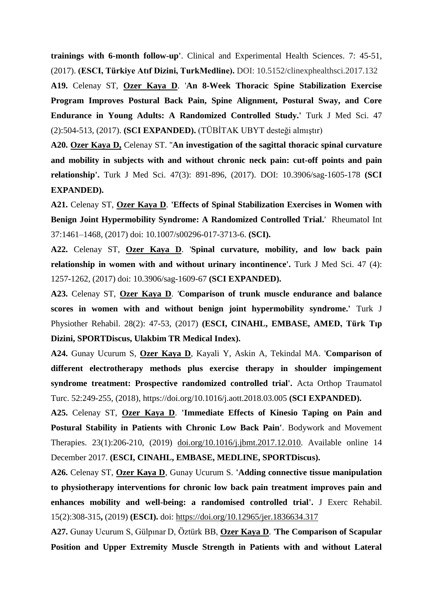**trainings with 6-month follow-up'**. Clinical and Experimental Health Sciences. 7: 45-51, (2017). **(ESCI, Türkiye Atıf Dizini, TurkMedline).** DOI: 10.5152/clinexphealthsci.2017.132

**A19.** Celenay ST, **Ozer Kaya D**. '**An 8-Week Thoracic Spine Stabilization Exercise Program Improves Postural Back Pain, Spine Alignment, Postural Sway, and Core Endurance in Young Adults: A Randomized Controlled Study.'** Turk J Med Sci. 47 (2):504-513, (2017). **(SCI EXPANDED).** (TÜBİTAK UBYT desteği almıştır)

**A20. Ozer Kaya D,** Celenay ST. ''**An investigation of the sagittal thoracic spinal curvature and mobility in subjects with and without chronic neck pain: cut-off points and pain relationship'.** Turk J Med Sci. 47(3): 891-896, (2017). DOI: 10.3906/sag-1605-178 **(SCI EXPANDED).**

**A21.** Celenay ST, **Ozer Kaya D**. **'Effects of Spinal Stabilization Exercises in Women with Benign Joint Hypermobility Syndrome: A Randomized Controlled Trial.**' Rheumatol Int 37:1461–1468, (2017) doi: 10.1007/s00296-017-3713-6. **(SCI).**

**A22.** Celenay ST, **Ozer Kaya D**. '**Spinal curvature, mobility, and low back pain relationship in women with and without urinary incontinence'.** Turk J Med Sci. 47 (4): 1257-1262, (2017) doi: 10.3906/sag-1609-67 **(SCI EXPANDED).** 

**A23.** Celenay ST, **Ozer Kaya D**. '**Comparison of trunk muscle endurance and balance scores in women with and without benign joint hypermobility syndrome.'** Turk J Physiother Rehabil. 28(2): 47-53, (2017) **(ESCI, CINAHL, EMBASE, AMED, Türk Tıp Dizini, SPORTDiscus, Ulakbim TR Medical Index).**

**A24.** Gunay Ucurum S, **Ozer Kaya D**, Kayali Y, Askin A, Tekindal MA. '**Comparison of different electrotherapy methods plus exercise therapy in shoulder impingement syndrome treatment: Prospective randomized controlled trial'.** Acta Orthop Traumatol Turc. 52:249-255, (2018), https://doi.org/10.1016/j.aott.2018.03.005 **(SCI EXPANDED).** 

**A25.** Celenay ST, **Ozer Kaya D**. **'Immediate Effects of Kinesio Taping on Pain and Postural Stability in Patients with Chronic Low Back Pain'**. Bodywork and Movement Therapies. 23(1):206-210, (2019) [doi.org/10.1016/j.jbmt.2017.12.010.](https://doi.org/10.1016/j.jbmt.2017.12.010) Available online 14 December 2017. **(ESCI, CINAHL, EMBASE, MEDLINE, SPORTDiscus).**

**A26.** Celenay ST, **Ozer Kaya D**, Gunay Ucurum S. **'Adding connective tissue manipulation to physiotherapy interventions for chronic low back pain treatment improves pain and enhances mobility and well-being: a randomised controlled trial'.** J Exerc Rehabil. 15(2):308-315**,** (2019) **(ESCI).** doi: <https://doi.org/10.12965/jer.1836634.317>

**A27.** Gunay Ucurum S, Gülpınar D, Öztürk BB, **Ozer Kaya D**. '**The Comparison of Scapular Position and Upper Extremity Muscle Strength in Patients with and without Lateral**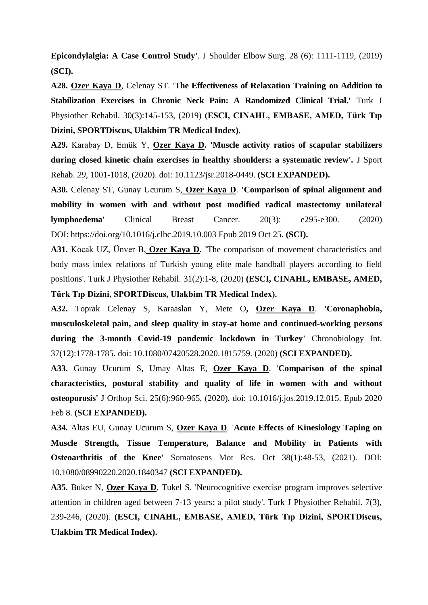**Epicondylalgia: A Case Control Study'**. J Shoulder Elbow Surg. 28 (6): 1111-1119, (2019) **(SCI).**

**A28. Ozer Kaya D**, Celenay ST. '**The Effectiveness of Relaxation Training on Addition to Stabilization Exercises in Chronic Neck Pain: A Randomized Clinical Trial.'** Turk J Physiother Rehabil. 30(3):145-153, (2019) **(ESCI, CINAHL, EMBASE, AMED, Türk Tıp Dizini, SPORTDiscus, Ulakbim TR Medical Index).** 

**A29.** Karabay D, Emük Y, **Ozer Kaya D. 'Muscle activity ratios of scapular stabilizers during closed kinetic chain exercises in healthy shoulders: a systematic review'.** J Sport Rehab. *29*, 1001-1018, (2020). doi: 10.1123/jsr.2018-0449. **(SCI EXPANDED).**

**A30.** Celenay ST, Gunay Ucurum S, **Ozer Kaya D**. **'Comparison of spinal alignment and mobility in women with and without post modified radical mastectomy unilateral lymphoedema'** Clinical Breast Cancer. 20(3): e295-e300. (2020) DOI: <https://doi.org/10.1016/j.clbc.2019.10.003> Epub 2019 Oct 25. **(SCI).**

**A31.** Kocak UZ, Ünver B, **Ozer Kaya D**. **'**The comparison of movement characteristics and body mass index relations of Turkish young elite male handball players according to field positions'. Turk J Physiother Rehabil. 31(2):1-8, (2020) **(ESCI, CINAHL, EMBASE, AMED, Türk Tıp Dizini, SPORTDiscus, Ulakbim TR Medical Index).** 

**A32.** Toprak Celenay S, Karaaslan Y, Mete O**, Ozer Kaya D**. **'Coronaphobia, musculoskeletal pain, and sleep quality in stay-at home and continued-working persons during the 3-month Covid-19 pandemic lockdown in Turkey'** Chronobiology Int. 37(12):1778-1785. doi: 10.1080/07420528.2020.1815759. (2020) **(SCI EXPANDED).**

**A33.** Gunay Ucurum S, Umay Altas E, **Ozer Kaya D**. '**Comparison of the spinal characteristics, postural stability and quality of life in women with and without osteoporosis'** J Orthop Sci. 25(6):960-965, (2020). doi: 10.1016/j.jos.2019.12.015. Epub 2020 Feb 8. **(SCI EXPANDED).**

**A34.** Altas EU, Gunay Ucurum S, **Ozer Kaya D**. '**Acute Effects of Kinesiology Taping on Muscle Strength, Tissue Temperature, Balance and Mobility in Patients with Osteoarthritis of the Knee'** Somatosens Mot Res. Oct 38(1):48-53, (2021). DOI: 10.1080/08990220.2020.1840347 **(SCI EXPANDED).**

**A35.** Buker N, **Ozer Kaya D**, Tukel S. 'Neurocognitive exercise program improves selective attention in children aged between 7-13 years: a pilot study'. Turk J Physiother Rehabil. 7(3), 239-246, (2020). **(ESCI, CINAHL, EMBASE, AMED, Türk Tıp Dizini, SPORTDiscus, Ulakbim TR Medical Index).**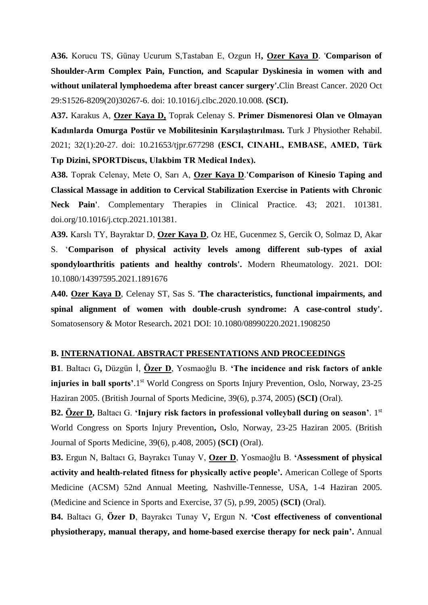**A36.** Korucu TS, Günay Ucurum S,Tastaban E, Ozgun H**, Ozer Kaya D**. '**Comparison of Shoulder-Arm Complex Pain, Function, and Scapular Dyskinesia in women with and without unilateral lymphoedema after breast cancer surgery'.**Clin Breast Cancer. 2020 Oct 29:S1526-8209(20)30267-6. doi: 10.1016/j.clbc.2020.10.008. **(SCI).**

**A37.** Karakus A, **Ozer Kaya D,** Toprak Celenay S. **Primer Dismenoresi Olan ve Olmayan Kadınlarda Omurga Postür ve Mobilitesinin Karşılaştırılması.** Turk J Physiother Rehabil. 2021; 32(1):20-27. doi: 10.21653/tjpr.677298 **(ESCI, CINAHL, EMBASE, AMED, Türk Tıp Dizini, SPORTDiscus, Ulakbim TR Medical Index).**

**A38.** Toprak Celenay, Mete O, Sarı A, **Ozer Kaya D**.**'Comparison of Kinesio Taping and Classical Massage in addition to Cervical Stabilization Exercise in Patients with Chronic Neck Pain'**. Complementary Therapies in Clinical Practice. 43; 2021. 101381. doi.org/10.1016/j.ctcp.2021.101381.

**A39.** Karslı TY, Bayraktar D, **Ozer Kaya D**, Oz HE, Gucenmez S, Gercik O, Solmaz D, Akar S. '**Comparison of physical activity levels among different sub-types of axial spondyloarthritis patients and healthy controls'.** Modern Rheumatology. 2021. DOI: 10.1080/14397595.2021.1891676

**A40. Ozer Kaya D**, Celenay ST, Sas S. '**The characteristics, functional impairments, and spinal alignment of women with double-crush syndrome: A case-control study'.**  Somatosensory & Motor Research**.** 2021 DOI: 10.1080/08990220.2021.1908250

#### **B. INTERNATIONAL ABSTRACT PRESENTATIONS AND PROCEEDINGS**

**B1**. Baltacı G**,** Düzgün İ, **Özer D**, Yosmaoğlu B. **'The incidence and risk factors of ankle injuries in ball sports'.**1<sup>st</sup> World Congress on Sports Injury Prevention, Oslo, Norway, 23-25 Haziran 2005. (British Journal of Sports Medicine, 39(6), p.374, 2005) **(SCI)** (Oral).

**B2. Özer D,** Baltacı G. **'Injury risk factors in professional volleyball during on season'**. 1st World Congress on Sports Injury Prevention**,** Oslo, Norway, 23-25 Haziran 2005. (British Journal of Sports Medicine, 39(6), p.408, 2005) **(SCI)** (Oral).

**B3.** Ergun N, Baltacı G, Bayrakcı Tunay V, **Ozer D**, Yosmaoğlu B. **'Assessment of physical activity and health-related fitness for physically active people'.** American College of Sports Medicine (ACSM) 52nd Annual Meeting, Nashville-Tennesse, USA, 1-4 Haziran 2005. (Medicine and Science in Sports and Exercise, 37 (5), p.99, 2005) **(SCI)** (Oral).

**B4.** Baltacı G, **Özer D**, Bayrakcı Tunay V**,** Ergun N. **'Cost effectiveness of conventional physiotherapy, manual therapy, and home-based exercise therapy for neck pain'.** Annual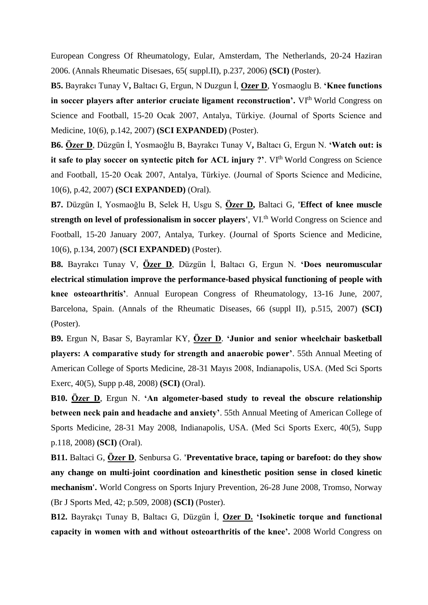European Congress Of Rheumatology, Eular, Amsterdam, The Netherlands, 20-24 Haziran 2006. (Annals Rheumatic Disesaes, 65( suppl.II), p.237, 2006) **(SCI)** (Poster).

**B5.** Bayrakcı Tunay V**,** Baltacı G, Ergun, N Duzgun İ, **Ozer D**, Yosmaoglu B. **'Knee functions** in soccer players after anterior cruciate ligament reconstruction'. VI<sup>th</sup> World Congress on Science and Football, 15-20 Ocak 2007, Antalya, Türkiye. (Journal of Sports Science and Medicine, 10(6), p.142, 2007) **(SCI EXPANDED)** (Poster).

**B6. Özer D**, Düzgün İ, Yosmaoğlu B, Bayrakcı Tunay V**,** Baltacı G, Ergun N. **'Watch out: is it safe to play soccer on syntectic pitch for ACL injury ?'**. VI<sup>th</sup> World Congress on Science and Football, 15-20 Ocak 2007, Antalya, Türkiye. (Journal of Sports Science and Medicine, 10(6), p.42, 2007) **(SCI EXPANDED)** (Oral).

**B7.** Düzgün I, Yosmaoğlu B, Selek H, Usgu S, **Özer D,** Baltaci G, **'Effect of knee muscle strength on level of professionalism in soccer players', VI.<sup>th</sup> World Congress on Science and** Football, 15-20 January 2007, Antalya, Turkey. (Journal of Sports Science and Medicine, 10(6), p.134, 2007) **(SCI EXPANDED)** (Poster).

**B8.** Bayrakcı Tunay V, **Özer D**, Düzgün İ, Baltacı G, Ergun N. **'Does neuromuscular electrical stimulation improve the performance-based physical functioning of people with knee osteoarthritis'**. Annual European Congress of Rheumatology, 13-16 June, 2007, Barcelona, Spain. (Annals of the Rheumatic Diseases, 66 (suppl II), p.515, 2007) **(SCI)** (Poster).

**B9.** Ergun N, Basar S, Bayramlar KY, **Özer D**. **'Junior and senior wheelchair basketball players: A comparative study for strength and anaerobic power'**. 55th Annual Meeting of American College of Sports Medicine, 28-31 Mayıs 2008, Indianapolis, USA. (Med Sci Sports Exerc, 40(5), Supp p.48, 2008) **(SCI)** (Oral).

**B10. Özer D**, Ergun N. **'An algometer-based study to reveal the obscure relationship between neck pain and headache and anxiety'**. 55th Annual Meeting of American College of Sports Medicine, 28-31 May 2008, Indianapolis, USA. (Med Sci Sports Exerc, 40(5), Supp p.118, 2008) **(SCI)** (Oral).

**B11.** Baltaci G, **Özer D**, Senbursa G. **'Preventative brace, taping or barefoot: do they show any change on multi-joint coordination and kinesthetic position sense in closed kinetic mechanism'.** World Congress on Sports Injury Prevention, 26-28 June 2008, Tromso, Norway (Br J Sports Med, 42; p.509, 2008) **(SCI)** (Poster).

**B12.** Bayrakçı Tunay B, Baltacı G, Düzgün İ, **Ozer D. 'Isokinetic torque and functional capacity in women with and without osteoarthritis of the knee'.** 2008 World Congress on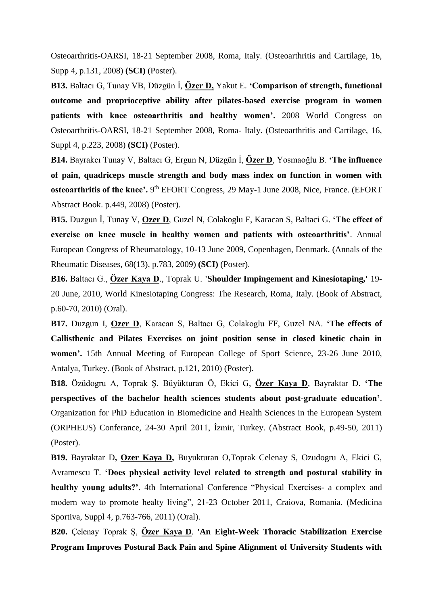Osteoarthritis-OARSI, 18-21 September 2008, Roma, Italy. (Osteoarthritis and Cartilage, 16, Supp 4, p.131, 2008) **(SCI)** (Poster).

**B13.** Baltacı G, Tunay VB, Düzgün İ, **Özer D,** Yakut E. **'Comparison of strength, functional outcome and proprioceptive ability after pilates-based exercise program in women patients with knee osteoarthritis and healthy women'.** 2008 World Congress on Osteoarthritis-OARSI, 18-21 September 2008, Roma- Italy. (Osteoarthritis and Cartilage, 16, Suppl 4, p.223, 2008) **(SCI)** (Poster).

**B14.** Bayrakcı Tunay V, Baltacı G, Ergun N, Düzgün İ, **Özer D**, Yosmaoğlu B. **'The influence of pain, quadriceps muscle strength and body mass index on function in women with**  osteoarthritis of the knee'. 9<sup>th</sup> EFORT Congress, 29 May-1 June 2008, Nice, France. (EFORT Abstract Book. p.449, 2008) (Poster).

**B15.** Duzgun İ, Tunay V, **Ozer D**, Guzel N, Colakoglu F, Karacan S, Baltaci G. **'The effect of exercise on knee muscle in healthy women and patients with osteoarthritis'**. Annual European Congress of Rheumatology, 10-13 June 2009, Copenhagen, Denmark. (Annals of the Rheumatic Diseases, 68(13), p.783, 2009) **(SCI)** (Poster).

**B16.** Baltacı G., **Özer Kaya D**., Toprak U. **'Shoulder Impingement and Kinesiotaping,'** 19- 20 June, 2010, World Kinesiotaping Congress: The Research, Roma, Italy. (Book of Abstract, p.60-70, 2010) (Oral).

**B17.** Duzgun I, **Ozer D**, Karacan S, Baltacı G, Colakoglu FF, Guzel NA. **'The effects of Callisthenic and Pilates Exercises on joint position sense in closed kinetic chain in women'.** 15th Annual Meeting of European College of Sport Science, 23-26 June 2010, Antalya, Turkey. (Book of Abstract, p.121, 2010) (Poster).

**B18.** Özüdogru A, Toprak Ş, Büyükturan Ö, Ekici G, **Özer Kaya D**, Bayraktar D. **'The perspectives of the bachelor health sciences students about post-graduate education'**. Organization for PhD Education in Biomedicine and Health Sciences in the European System (ORPHEUS) Conferance, 24-30 April 2011, İzmir, Turkey. (Abstract Book, p.49-50, 2011) (Poster).

**B19.** Bayraktar D**, Ozer Kaya D,** Buyukturan O,Toprak Celenay S, Ozudogru A, Ekici G, Avramescu T. **'Does physical activity level related to strength and postural stability in healthy young adults?'**. 4th International Conference "Physical Exercises- a complex and modern way to promote healty living", 21-23 October 2011, Craiova, Romania. (Medicina Sportiva, Suppl 4, p.763-766, 2011) (Oral).

**B20.** Çelenay Toprak Ş, **Özer Kaya D**. **'An Eight-Week Thoracic Stabilization Exercise Program Improves Postural Back Pain and Spine Alignment of University Students with**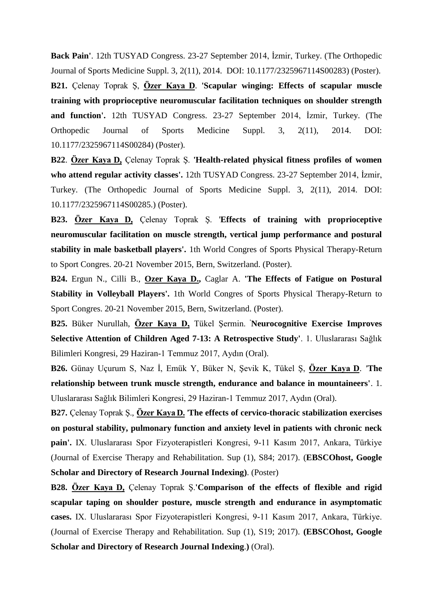**Back Pain'**. 12th TUSYAD Congress. 23-27 September 2014, İzmir, Turkey. (The Orthopedic Journal of Sports Medicine Suppl. 3, 2(11), 2014. DOI: 10.1177/2325967114S00283) (Poster). **B21.** Çelenay Toprak Ş, **Özer Kaya D**. **'Scapular winging: Effects of scapular muscle training with proprioceptive neuromuscular facilitation techniques on shoulder strength and function'.** 12th TUSYAD Congress. 23-27 September 2014, İzmir, Turkey. (The Orthopedic Journal of Sports Medicine Suppl. 3, 2(11), 2014. DOI: 10.1177/2325967114S00284) (Poster).

**B22**. **Özer Kaya D,** Çelenay Toprak Ş. **'Health-related physical fitness profiles of women who attend regular activity classes'.** 12th TUSYAD Congress. 23-27 September 2014, İzmir, Turkey. (The Orthopedic Journal of Sports Medicine Suppl. 3, 2(11), 2014. DOI: 10.1177/2325967114S00285.) (Poster).

**B23. Özer Kaya D,** Çelenay Toprak Ş. '**Effects of training with proprioceptive neuromuscular facilitation on muscle strength, vertical jump performance and postural stability in male basketball players'.** 1th World Congres of Sports Physical Therapy-Return to Sport Congres. 20-21 November 2015, Bern, Switzerland. (Poster).

**B24.** Ergun N., Cilli B., **Ozer Kaya D.,** Caglar A. **'The Effects of Fatigue on Postural Stability in Volleyball Players'.** 1th World Congres of Sports Physical Therapy-Return to Sport Congres. 20-21 November 2015, Bern, Switzerland. (Poster).

**B25.** Büker Nurullah, **Özer Kaya D,** Tükel Şermin. **'Neurocognitive Exercise Improves Selective Attention of Children Aged 7-13: A Retrospective Study'**. 1. Uluslararası Sağlık Bilimleri Kongresi, 29 Haziran-1 Temmuz 2017, Aydın (Oral).

**B26.** Günay Uçurum S, Naz İ, Emük Y, Büker N, Şevik K, Tükel Ş, **Özer Kaya D**. *'***The relationship between trunk muscle strength, endurance and balance in mountaineers'**. 1. Uluslararası Sağlık Bilimleri Kongresi, 29 Haziran-1 Temmuz 2017, Aydın (Oral).

**B27.** Çelenay Toprak Ş., **Özer Kaya D.** '**The effects of cervico-thoracic stabilization exercises on postural stability, pulmonary function and anxiety level in patients with chronic neck pain'.** IX. Uluslararası Spor Fizyoterapistleri Kongresi, 9-11 Kasım 2017, Ankara, Türkiye (Journal of Exercise Therapy and Rehabilitation. Sup (1), S84; 2017). (**EBSCOhost, Google Scholar and Directory of Research Journal Indexing)**. (Poster)

**B28. Özer Kaya D,** Çelenay Toprak Ş.**'Comparison of the effects of flexible and rigid scapular taping on shoulder posture, muscle strength and endurance in asymptomatic cases.** IX. Uluslararası Spor Fizyoterapistleri Kongresi, 9-11 Kasım 2017, Ankara, Türkiye. (Journal of Exercise Therapy and Rehabilitation. Sup (1), S19; 2017). **(EBSCOhost, Google Scholar and Directory of Research Journal Indexing**.**)** (Oral).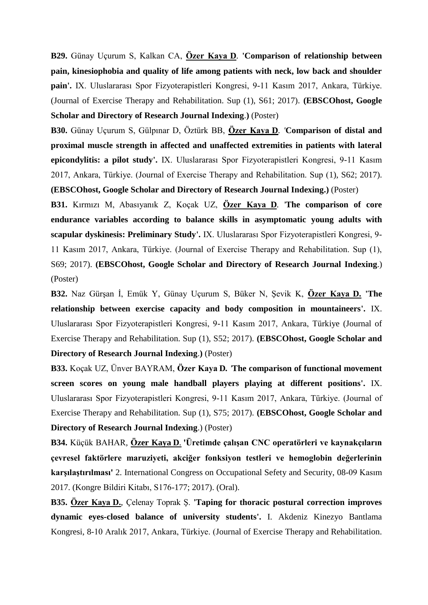**B29.** Günay Uçurum S, Kalkan CA, **Özer Kaya D***.* **'Comparison of relationship between pain, kinesiophobia and quality of life among patients with neck, low back and shoulder pain'.** IX. Uluslararası Spor Fizyoterapistleri Kongresi, 9-11 Kasım 2017, Ankara, Türkiye. (Journal of Exercise Therapy and Rehabilitation. Sup (1), S61; 2017). **(EBSCOhost, Google Scholar and Directory of Research Journal Indexing**.**)** (Poster)

**B30.** Günay Uçurum S, Gülpınar D, Öztürk BB, **Özer Kaya D***. '***Comparison of distal and proximal muscle strength in affected and unaffected extremities in patients with lateral epicondylitis: a pilot study'.** IX. Uluslararası Spor Fizyoterapistleri Kongresi, 9-11 Kasım 2017, Ankara, Türkiye. (Journal of Exercise Therapy and Rehabilitation. Sup (1), S62; 2017). **(EBSCOhost, Google Scholar and Directory of Research Journal Indexing.)** (Poster)

**B31.** Kırmızı M, Abasıyanık Z, Koçak UZ, **Özer Kaya D***.* '**The comparison of core endurance variables according to balance skills in asymptomatic young adults with scapular dyskinesis: Preliminary Study'.** IX. Uluslararası Spor Fizyoterapistleri Kongresi, 9- 11 Kasım 2017, Ankara, Türkiye. (Journal of Exercise Therapy and Rehabilitation. Sup (1), S69; 2017). **(EBSCOhost, Google Scholar and Directory of Research Journal Indexing**.) (Poster)

**B32.** Naz Gürşan İ, Emük Y, Günay Uçurum S, Büker N, Şevik K, **Özer Kaya D. 'The relationship between exercise capacity and body composition in mountaineers'.** IX. Uluslararası Spor Fizyoterapistleri Kongresi, 9-11 Kasım 2017, Ankara, Türkiye (Journal of Exercise Therapy and Rehabilitation. Sup (1), S52; 2017). **(EBSCOhost, Google Scholar and Directory of Research Journal Indexing**.**)** (Poster)

**B33.** Koçak UZ, Ünver BAYRAM, **Özer Kaya D***. '***The comparison of functional movement screen scores on young male handball players playing at different positions'.** IX. Uluslararası Spor Fizyoterapistleri Kongresi, 9-11 Kasım 2017, Ankara, Türkiye. (Journal of Exercise Therapy and Rehabilitation. Sup (1), S75; 2017). **(EBSCOhost, Google Scholar and Directory of Research Journal Indexing**.) (Poster)

**B34.** Küçük BAHAR*,* **Özer Kaya D***.* **'Üretimde çalışan CNC operatörleri ve kaynakçıların çevresel faktörlere maruziyeti, akciğer fonksiyon testleri ve hemoglobin değerlerinin karşılaştırılması'** 2. International Congress on Occupational Sefety and Security, 08-09 Kasım 2017. (Kongre Bildiri Kitabı, S176-177; 2017). (Oral).

**B35. Özer Kaya D.**, Çelenay Toprak Ş. **'Taping for thoracic postural correction improves dynamic eyes-closed balance of university students'.** I. Akdeniz Kinezyo Bantlama Kongresi, 8-10 Aralık 2017, Ankara, Türkiye. (Journal of Exercise Therapy and Rehabilitation.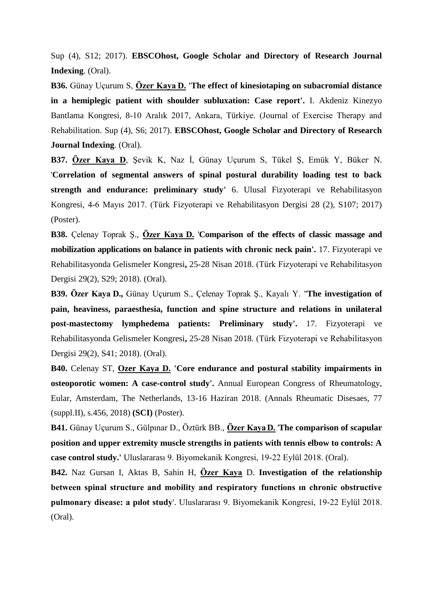Sup (4), S12; 2017). **EBSCOhost, Google Scholar and Directory of Research Journal Indexing**. (Oral).

**B36.** Günay Uçurum S, **Özer Kaya D. 'The effect of kinesiotaping on subacromial distance in a hemiplegic patient with shoulder subluxation: Case report'.** I. Akdeniz Kinezyo Bantlama Kongresi, 8-10 Aralık 2017, Ankara, Türkiye. (Journal of Exercise Therapy and Rehabilitation. Sup (4), S6; 2017). **EBSCOhost, Google Scholar and Directory of Research Journal Indexing**. (Oral).

**B37. Özer Kaya D**, Şevik K, Naz İ, Günay Uçurum S, Tükel Ş, Emük Y, Büker. N. '**Correlation of segmental answers of spinal postural durability loading test to back strength and endurance: preliminary study'** 6. Ulusal Fizyoterapi ve Rehabilitasyon Kongresi, 4-6 Mayıs 2017. (Türk Fizyoterapi ve Rehabilitasyon Dergisi 28 (2), S107; 2017) (Poster).

**B38.** Çelenay Toprak Ş., **Özer Kaya D.** '**Comparison of the effects of classic massage and mobilization applications on balance in patients with chronic neck pain'.** 17. Fizyoterapi ve Rehabilitasyonda Gelismeler Kongresi**,** 25-28 Nisan 2018. (Türk Fizyoterapi ve Rehabilitasyon Dergisi 29(2), S29; 2018). (Oral).

**B39. Özer Kaya D.,** Günay Uçurum S., Çelenay Toprak Ş., Kayalı Y. ''**[The investigation of](javascript:void(0))  pain, heaviness, paraesthesia, [function and spine structure and relations in unilateral](javascript:void(0))  [post-mastectomy lymphedema patients:](javascript:void(0)) Preliminary study'.** 17. Fizyoterapi ve Rehabilitasyonda Gelismeler Kongresi**,** 25-28 Nisan 2018. (Türk Fizyoterapi ve Rehabilitasyon Dergisi 29(2), S41; 2018). (Oral).

**B40.** Celenay ST, **Ozer Kaya D. 'Core endurance and postural stability impairments in osteoporotic women: A case-control study'.** Annual European Congress of Rheumatology, Eular, Amsterdam, The Netherlands, 13-16 Haziran 2018. (Annals Rheumatic Disesaes, 77 (suppl.II), s.456, 2018) **(SCI)** (Poster).

**B41.** Günay Uçurum S., Gülpınar D., Öztürk BB., **Özer Kaya D.** '**The comparison of scapular position and upper extremity muscle strengths in patients with tennis elbow to controls: A case control study.'** Uluslararası 9. Biyomekanik Kongresi, 19-22 Eylül 2018. (Oral).

**B42.** Naz Gursan I, Aktas B, Sahin H, **Özer Kaya** D. **Investigation of the relationship between spinal structure and mobility and respiratory functions ın chronic obstructive pulmonary disease: a pılot study**'. Uluslararası 9. Biyomekanik Kongresi, 19-22 Eylül 2018. (Oral).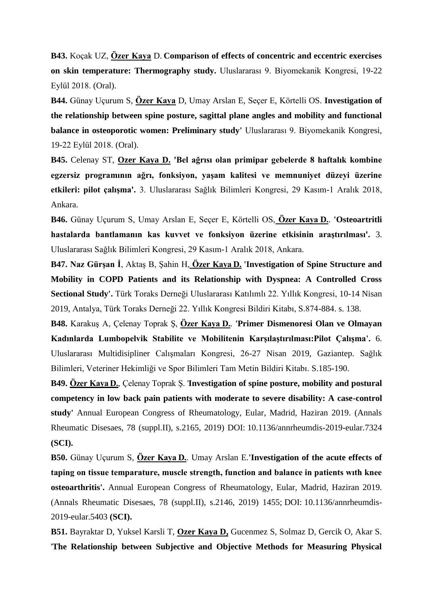**B43.** Koçak UZ, **Özer Kaya** D. **Comparison of effects of concentric and eccentric exercises on skin temperature: Thermography study.** Uluslararası 9. Biyomekanik Kongresi, 19-22 Eylül 2018. (Oral).

**B44.** Günay Uçurum S, **Özer Kaya** D, Umay Arslan E, Seçer E, Körtelli OS. **Investigation of the relationship between spine posture, sagittal plane angles and mobility and functional balance in osteoporotic women: Preliminary study' Uluslararası 9. Biyomekanik Kongresi,** 19-22 Eylül 2018. (Oral).

**B45.** Celenay ST, **Ozer Kaya D. 'Bel ağrısı olan primipar gebelerde 8 haftalık kombine egzersiz programının ağrı, fonksiyon, yaşam kalitesi ve memnuniyet düzeyi üzerine etkileri: pilot çalışma'.** 3. Uluslararası Sağlık Bilimleri Kongresi, 29 Kasım-1 Aralık 2018, Ankara.

**B46.** Günay Uçurum S, Umay Arslan E, Seçer E, Körtelli OS, **Özer Kaya D.**. **'Osteoartritli hastalarda bantlamanın kas kuvvet ve fonksiyon üzerine etkisinin araştırılması'.** 3. Uluslararası Sağlık Bilimleri Kongresi, 29 Kasım-1 Aralık 2018, Ankara.

**B47. Naz Gürşan İ**, Aktaş B, Şahin H, **Özer Kaya D. 'Investigation of Spine Structure and Mobility in COPD Patients and its Relationship with Dyspnea: A Controlled Cross Sectional Study'.** Türk Toraks Derneği Uluslararası Katılımlı 22. Yıllık Kongresi, 10-14 Nisan 2019, Antalya, Türk Toraks Derneği 22. Yıllık Kongresi Bildiri Kitabı, S.874-884. s. 138.

**B48.** Karakuş A, Çelenay Toprak Ş, **Özer Kaya D.**. **'Primer Dismenoresi Olan ve Olmayan Kadınlarda Lumbopelvik Stabilite ve Mobilitenin Karşılaştırılması:Pilot Çalışma'.** 6. Uluslararası Multidisipliner Calışmaları Kongresi, 26-27 Nisan 2019, Gaziantep. Sağlık Bilimleri, Veteriner Hekimliği ve Spor Bilimleri Tam Metin Bildiri Kitabı. S.185-190.

**B49. Özer Kaya D.**, Çelenay Toprak Ş. '**Investigation of spine posture, mobility and postural competency in low back pain patients with moderate to severe disability: A case-control study'** Annual European Congress of Rheumatology, Eular, Madrid, Haziran 2019. (Annals Rheumatic Disesaes, 78 (suppl.II), s.2165, 2019) DOI: 10.1136/annrheumdis-2019-eular.7324 **(SCI).**

**B50.** Günay Uçurum S, **Özer Kaya D.**. Umay Arslan E.**'Investigation of the acute effects of taping on tissue temparature, muscle strength, function and balance in patients wıth knee osteoarthritis'.** Annual European Congress of Rheumatology, Eular, Madrid, Haziran 2019. (Annals Rheumatic Disesaes, 78 (suppl.II), s.2146, 2019) 1455; DOI: 10.1136/annrheumdis-2019-eular.5403 **(SCI).**

**B51.** Bayraktar D, Yuksel Karsli T, **Ozer Kaya D,** Gucenmez S, Solmaz D, Gercik O, Akar S. '**The Relationship between Subjective and Objective Methods for Measuring Physical**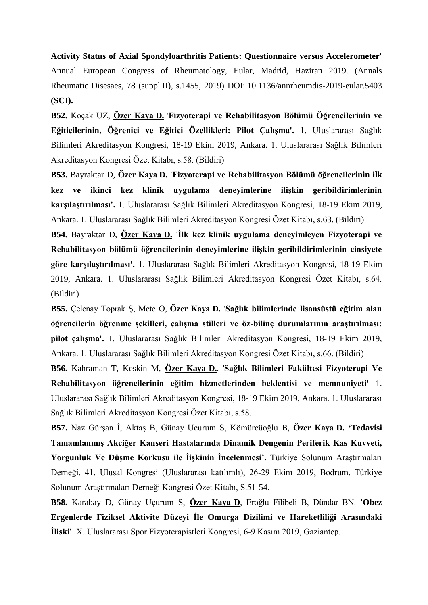**Activity Status of Axial Spondyloarthritis Patients: Questionnaire versus Accelerometer'**  Annual European Congress of Rheumatology, Eular, Madrid, Haziran 2019. (Annals Rheumatic Disesaes, 78 (suppl.II), s.1455, 2019) DOI: 10.1136/annrheumdis-2019-eular.5403 **(SCI).**

**B52.** Koçak UZ, **Özer Kaya D.** '**Fizyoterapi ve Rehabilitasyon Bölümü Öğrencilerinin ve Eğiticilerinin, Öğrenici ve Eğitici Özellikleri: Pilot Çalışma'.** 1. Uluslararası Sağlık Bilimleri Akreditasyon Kongresi, 18-19 Ekim 2019, Ankara. 1. Uluslararası Sağlık Bilimleri Akreditasyon Kongresi Özet Kitabı, s.58. (Bildiri)

**B53.** Bayraktar D, **Özer Kaya D. 'Fizyoterapi ve Rehabilitasyon Bölümü öğrencilerinin ilk kez ve ikinci kez klinik uygulama deneyimlerine ilişkin geribildirimlerinin karşılaştırılması'.** 1. Uluslararası Sağlık Bilimleri Akreditasyon Kongresi, 18-19 Ekim 2019, Ankara. 1. Uluslararası Sağlık Bilimleri Akreditasyon Kongresi Özet Kitabı, s.63. (Bildiri)

**B54.** Bayraktar D, **Özer Kaya D. 'İlk kez klinik uygulama deneyimleyen Fizyoterapi ve Rehabilitasyon bölümü öğrencilerinin deneyimlerine ilişkin geribildirimlerinin cinsiyete göre karşılaştırılması'.** 1. Uluslararası Sağlık Bilimleri Akreditasyon Kongresi, 18-19 Ekim 2019, Ankara. 1. Uluslararası Sağlık Bilimleri Akreditasyon Kongresi Özet Kitabı, s.64. (Bildiri)

**B55.** Çelenay Toprak Ş, Mete O, **Özer Kaya D.** '**Sağlık bilimlerinde lisansüstü eğitim alan öğrencilerin öğrenme şekilleri, çalışma stilleri ve öz-bilinç durumlarının araştırılması: pilot çalışma'.** 1. Uluslararası Sağlık Bilimleri Akreditasyon Kongresi, 18-19 Ekim 2019, Ankara. 1. Uluslararası Sağlık Bilimleri Akreditasyon Kongresi Özet Kitabı, s.66. (Bildiri)

**B56.** Kahraman T, Keskin M, **Özer Kaya D.**. '**Sağlık Bilimleri Fakültesi Fizyoterapi Ve Rehabilitasyon öğrencilerinin eğitim hizmetlerinden beklentisi ve memnuniyeti'** 1. Uluslararası Sağlık Bilimleri Akreditasyon Kongresi, 18-19 Ekim 2019, Ankara. 1. Uluslararası Sağlık Bilimleri Akreditasyon Kongresi Özet Kitabı, s.58.

**B57.** Naz Gürşan İ, Aktaş B, Günay Uçurum S, Kömürcüoğlu B, **Özer Kaya D. 'Tedavisi Tamamlanmış Akciğer Kanseri Hastalarında Dinamik Dengenin Periferik Kas Kuvveti, Yorgunluk Ve Düşme Korkusu ile İişkinin İncelenmesi'.** Türkiye Solunum Araştırmaları Derneği, 41. Ulusal Kongresi (Uluslararası katılımlı), 26-29 Ekim 2019, Bodrum, Türkiye Solunum Araştırmaları Derneği Kongresi Özet Kitabı, S.51-54.

**B58.** Karabay D, Günay Uçurum S, **Özer Kaya D**, Eroğlu Filibeli B, Dündar BN. **'Obez Ergenlerde Fiziksel Aktivite Düzeyi İle Omurga Dizilimi ve Hareketliliği Arasındaki İlişki'**. X. Uluslararası Spor Fizyoterapistleri Kongresi, 6-9 Kasım 2019, Gaziantep.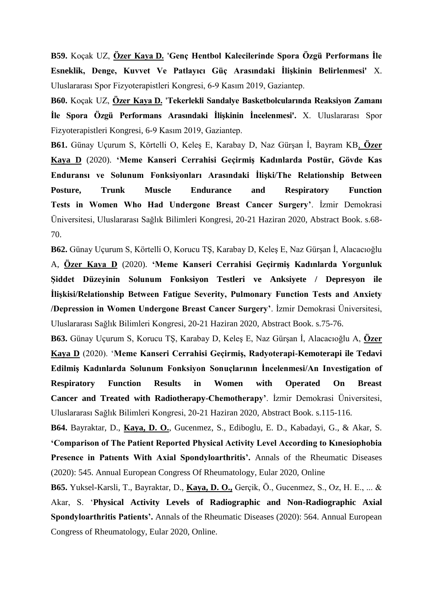**B59.** Koçak UZ, **Özer Kaya D. 'Genç Hentbol Kalecilerinde Spora Özgü Performans İle Esneklik, Denge, Kuvvet Ve Patlayıcı Güç Arasındaki İlişkinin Belirlenmesi'** X. Uluslararası Spor Fizyoterapistleri Kongresi, 6-9 Kasım 2019, Gaziantep.

**B60.** Koçak UZ, **Özer Kaya D. 'Tekerlekli Sandalye Basketbolcularında Reaksiyon Zamanı İle Spora Özgü Performans Arasındaki İlişkinin İncelenmesi'.** X. Uluslararası Spor Fizyoterapistleri Kongresi, 6-9 Kasım 2019, Gaziantep.

**B61.** Günay Uçurum S, Körtelli O, Keleş E, Karabay D, Naz Gürşan İ, Bayram KB, **Özer Kaya D** (2020). **'Meme Kanseri Cerrahisi Geçirmiş Kadınlarda Postür, Gövde Kas Enduransı ve Solunum Fonksiyonları Arasındaki İlişki/The Relationship Between Posture, Trunk Muscle Endurance and Respiratory Function Tests in Women Who Had Undergone Breast Cancer Surgery'**. İzmir Demokrasi Üniversitesi, Uluslararası Sağlık Bilimleri Kongresi, 20-21 Haziran 2020, Abstract Book. s.68- 70.

**B62.** Günay Uçurum S, Körtelli O, Korucu TŞ, Karabay D, Keleş E, Naz Gürşan İ, Alacacıoğlu A, **Özer Kaya D** (2020). **'Meme Kanseri Cerrahisi Geçirmiş Kadınlarda Yorgunluk Şiddet Düzeyinin Solunum Fonksiyon Testleri ve Anksiyete / Depresyon ile İlişkisi/Relationship Between Fatigue Severity, Pulmonary Function Tests and Anxiety /Depression in Women Undergone Breast Cancer Surgery'**. İzmir Demokrasi Üniversitesi, Uluslararası Sağlık Bilimleri Kongresi, 20-21 Haziran 2020, Abstract Book. s.75-76.

**B63.** Günay Uçurum S, Korucu TŞ, Karabay D, Keleş E, Naz Gürşan İ, Alacacıoğlu A, **Özer Kaya D** (2020). '**Meme Kanseri Cerrahisi Geçirmiş, Radyoterapi-Kemoterapi ile Tedavi Edilmiş Kadınlarda Solunum Fonksiyon Sonuçlarının İncelenmesi/An Investigation of Respiratory Function Results in Women with Operated On Breast Cancer and Treated with Radiotherapy-Chemotherapy'**. İzmir Demokrasi Üniversitesi, Uluslararası Sağlık Bilimleri Kongresi, 20-21 Haziran 2020, Abstract Book. s.115-116.

**B64.** Bayraktar, D., **Kaya, D. O.**, Gucenmez, S., Ediboglu, E. D., Kabadayi, G., & Akar, S. **'Comparison of The Patient Reported Physical Activity Level According to Kınesiophobia Presence in Patıents With Axial Spondyloarthritis'.** Annals of the Rheumatic Diseases (2020): 545. Annual European Congress Of Rheumatology, Eular 2020, Online

**B65.** Yuksel-Karsli, T., Bayraktar, D., **Kaya, D. O.,** Gerçik, Ö., Gucenmez, S., Oz, H. E., ... & Akar, S. '**Physical Activity Levels of Radiographic and Non-Radiographic Axial Spondyloarthritis Patients'.** Annals of the Rheumatic Diseases (2020): 564. Annual European Congress of Rheumatology, Eular 2020, Online.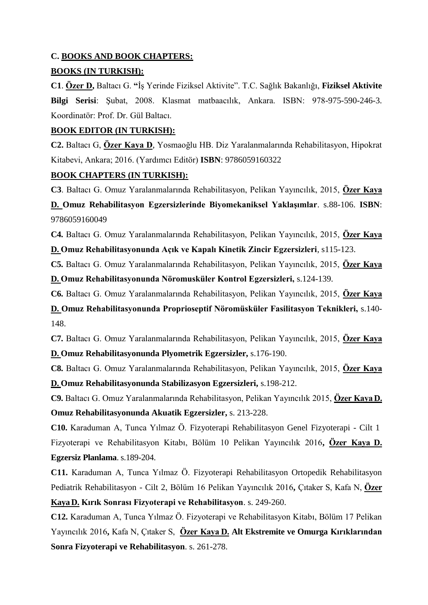## **C. BOOKS AND BOOK CHAPTERS:**

## **BOOKS (IN TURKISH):**

**C1**. **Özer D,** Baltacı G. **"**İş Yerinde Fiziksel Aktivite". T.C. Sağlık Bakanlığı, **Fiziksel Aktivite Bilgi Serisi**: Şubat, 2008. Klasmat matbaacılık, Ankara. ISBN: 978-975-590-246-3. Koordinatör: Prof. Dr. Gül Baltacı.

## **BOOK EDITOR (IN TURKISH):**

**C2.** Baltacı G, **Özer Kaya D**, Yosmaoğlu HB. Diz Yaralanmalarında Rehabilitasyon, Hipokrat Kitabevi, Ankara; 2016. (Yardımcı Editör) **ISBN**: 9786059160322

## **BOOK CHAPTERS (IN TURKISH):**

**C3**. Baltacı G. Omuz Yaralanmalarında Rehabilitasyon, Pelikan Yayıncılık, 2015, **Özer Kaya**

**D. Omuz Rehabilitasyon Egzersizlerinde Biyomekaniksel Yaklaşımlar**. s.88-106. **ISBN**: 9786059160049

**C4.** Baltacı G. Omuz Yaralanmalarında Rehabilitasyon, Pelikan Yayıncılık, 2015, **Özer Kaya**

**D. Omuz Rehabilitasyonunda Açık ve Kapalı Kinetik Zincir Egzersizleri**, s115-123.

**C5.** Baltacı G. Omuz Yaralanmalarında Rehabilitasyon, Pelikan Yayıncılık, 2015, **Özer Kaya D. Omuz Rehabilitasyonunda Nöromusküler Kontrol Egzersizleri,** s.124-139.

**C6.** Baltacı G. Omuz Yaralanmalarında Rehabilitasyon, Pelikan Yayıncılık, 2015, **Özer Kaya**

**D. Omuz Rehabilitasyonunda Proprioseptif Nöromüsküler Fasilitasyon Teknikleri,** s.140- 148.

**C7.** Baltacı G. Omuz Yaralanmalarında Rehabilitasyon, Pelikan Yayıncılık, 2015, **Özer Kaya D. Omuz Rehabilitasyonunda Plyometrik Egzersizler,** s.176-190.

**C8.** Baltacı G. Omuz Yaralanmalarında Rehabilitasyon, Pelikan Yayıncılık, 2015, **Özer Kaya D. Omuz Rehabilitasyonunda Stabilizasyon Egzersizleri,** s.198-212.

**C9.** Baltacı G. Omuz Yaralanmalarında Rehabilitasyon, Pelikan Yayıncılık 2015, **Özer KayaD. Omuz Rehabilitasyonunda Akuatik Egzersizler,** s. 213-228.

**C10.** Karaduman A, Tunca Yılmaz Ö. Fizyoterapi Rehabilitasyon Genel Fizyoterapi - Cilt 1 Fizyoterapi ve Rehabilitasyon Kitabı, Bölüm 10 Pelikan Yayıncılık 2016**, Özer Kaya D. Egzersiz Planlama**. s.189-204.

**C11.** Karaduman A, Tunca Yılmaz Ö. Fizyoterapi Rehabilitasyon Ortopedik Rehabilitasyon Pediatrik Rehabilitasyon - Cilt 2, Bölüm 16 Pelikan Yayıncılık 2016**,** Çıtaker S, Kafa N, **Özer KayaD. Kırık Sonrası Fizyoterapi ve Rehabilitasyon**. s. 249-260.

**C12.** Karaduman A, Tunca Yılmaz Ö. Fizyoterapi ve Rehabilitasyon Kitabı, Bölüm 17 Pelikan Yayıncılık 2016**,** Kafa N, Çıtaker S, **Özer Kaya D. Alt Ekstremite ve Omurga Kırıklarından Sonra Fizyoterapi ve Rehabilitasyon**. s. 261-278.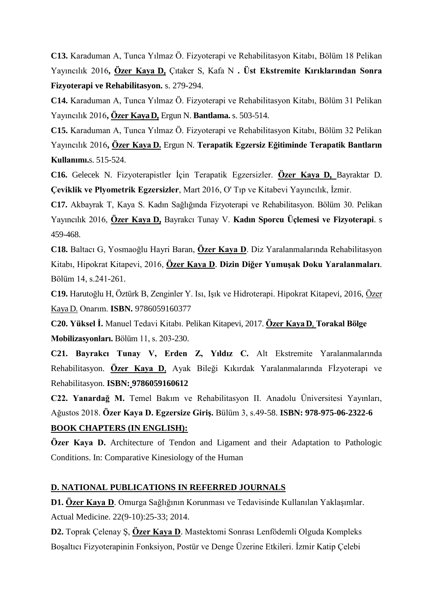**C13.** Karaduman A, Tunca Yılmaz Ö. Fizyoterapi ve Rehabilitasyon Kitabı, Bölüm 18 Pelikan Yayıncılık 2016**, Özer Kaya D,** Çıtaker S, Kafa N **. Üst Ekstremite Kırıklarından Sonra Fizyoterapi ve Rehabilitasyon.** s. 279-294.

**C14.** Karaduman A, Tunca Yılmaz Ö. Fizyoterapi ve Rehabilitasyon Kitabı, Bölüm 31 Pelikan Yayıncılık 2016**, Özer KayaD,** Ergun N. **Bantlama.** s. 503-514.

**C15.** Karaduman A, Tunca Yılmaz Ö. Fizyoterapi ve Rehabilitasyon Kitabı, Bölüm 32 Pelikan Yayıncılık 2016**, Özer Kaya D.** Ergun N. **Terapatik Egzersiz Eğitiminde Terapatik Bantların Kullanımı.**s. 515-524.

**C16.** Gelecek N. Fizyoterapistler İçin Terapatik Egzersizler. **Özer Kaya D,** Bayraktar D. **Çeviklik ve Plyometrik Egzersizler**, Mart 2016, O' Tıp ve Kitabevi Yayıncılık, İzmir.

**C17.** Akbayrak T, Kaya S. Kadın Sağlığında Fizyoterapi ve Rehabilitasyon. Bölüm 30. Pelikan Yayıncılık 2016, **Özer Kaya D,** Bayrakcı Tunay V. **Kadın Sporcu Üçlemesi ve Fizyoterapi**. s 459-468.

**C18.** Baltacı G, Yosmaoğlu Hayri Baran, **Özer Kaya D**. Diz Yaralanmalarında Rehabilitasyon Kitabı, Hipokrat Kitapevi, 2016, **Özer Kaya D**. **Dizin Diğer Yumuşak Doku Yaralanmaları**. Bölüm 14, s.241-261.

**C19.** Harutoğlu H, Öztürk B, Zenginler Y. Isı, Işık ve Hidroterapi. Hipokrat Kitapevi, 2016, Özer Kaya D. Onarım. **ISBN.** [9786059160377](javascript:document.aramaformu.submit();)

**C20. Yüksel İ.** Manuel Tedavi Kitabı. Pelikan Kitapevi, 2017. **Özer KayaD**, **Torakal Bölge Mobilizasyonları.** Bölüm 11, s. 203-230.

**C21. Bayrakcı Tunay V, Erden Z, Yıldız C.** Alt Ekstremite Yaralanmalarında Rehabilitasyon. **Özer Kaya D**, Ayak Bileği Kıkırdak Yaralanmalarında Fİzyoterapi ve Rehabilitasyon. **ISBN: [9786059160612](https://www.medikalkitabevi.com/tag/9786059160612.html)**

**C22. Yanardağ M.** Temel Bakım ve Rehabilitasyon II. Anadolu Üniversitesi Yayınları, Ağustos 2018. **Özer Kaya D. Egzersize Giriş.** Bülüm 3, s.49-58. **ISBN: 978-975-06-2322-6 BOOK CHAPTERS (IN ENGLISH):**

**Özer Kaya D.** Architecture of Tendon and Ligament and their Adaptation to Pathologic Conditions. In: Comparative Kinesiology of the Human

## **D. NATIONAL PUBLICATIONS IN REFERRED JOURNALS**

**D1. Özer Kaya D**. [Omurga Sağlığının Korunması ve Tedavisinde Kullanılan Yaklaşımlar.](http://www.medicalnetwork.com.tr/web/konu.asp?goster=1&Metin=320) Actual Medicine. 22(9-10):25-33; 2014.

**D2.** Toprak Çelenay Ş, **Özer Kaya D**. Mastektomi Sonrası Lenfödemli Olguda Kompleks Boşaltıcı Fizyoterapinin Fonksiyon, Postür ve Denge Üzerine Etkileri. İzmir Katip Çelebi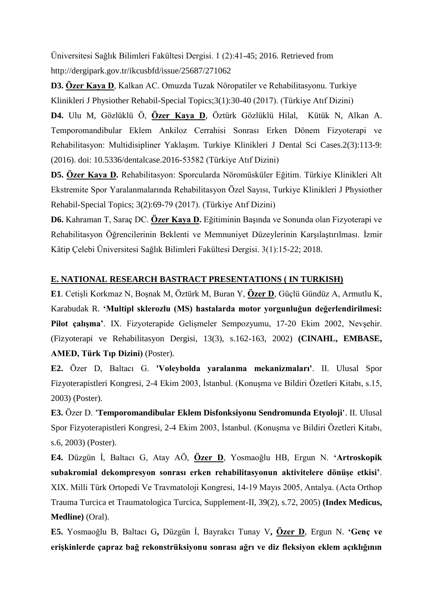Üniversitesi Sağlık Bilimleri Fakültesi Dergisi. 1 (2):41-45; 2016. Retrieved from http://dergipark.gov.tr/ikcusbfd/issue/25687/271062

**D3. Özer Kaya D**, Kalkan AC. Omuzda Tuzak Nöropatiler ve Rehabilitasyonu. Turkiye Klinikleri J Physiother Rehabil-Special Topics;3(1):30-40 (2017). (Türkiye Atıf Dizini)

**D4.** [Ulu](http://www.turkiyeklinikleri.com/journal/dis-hekimligi-bilimleri-olgu-dergisi/2149-3375/inpress/tr-index.html#tpl_login) M, [Gözlüklü](http://www.turkiyeklinikleri.com/journal/dis-hekimligi-bilimleri-olgu-dergisi/2149-3375/inpress/tr-index.html#tpl_login) Ö, **[Özer Kaya](http://www.turkiyeklinikleri.com/journal/dis-hekimligi-bilimleri-olgu-dergisi/2149-3375/inpress/tr-index.html#tpl_login) D**, [Öztürk Gözlüklü](http://www.turkiyeklinikleri.com/journal/dis-hekimligi-bilimleri-olgu-dergisi/2149-3375/inpress/tr-index.html#tpl_login) Hilal, [Kütük](http://www.turkiyeklinikleri.com/journal/dis-hekimligi-bilimleri-olgu-dergisi/2149-3375/inpress/tr-index.html#tpl_login) N, [Alkan](http://www.turkiyeklinikleri.com/journal/dis-hekimligi-bilimleri-olgu-dergisi/2149-3375/inpress/tr-index.html#tpl_login) A. [Temporomandibular Eklem Ankiloz Cerrahisi Sonrası Erken Dönem Fizyoterapi ve](http://www.turkiyeklinikleri.com/inpress_article/tr-temporomandibular-eklem-ankiloz-cerrahisi-sonrasi-erken-donem-fizyoterapi-ve-rehabilitasyon-multidisipliner-yaklasim-77331.html)  [Rehabilitasyon: Multidisipliner Yaklaşım.](http://www.turkiyeklinikleri.com/inpress_article/tr-temporomandibular-eklem-ankiloz-cerrahisi-sonrasi-erken-donem-fizyoterapi-ve-rehabilitasyon-multidisipliner-yaklasim-77331.html) Turkiye Klinikleri J Dental Sci Cases.2(3):113-9: (2016). doi: 10.5336/dentalcase.2016-53582 (Türkiye Atıf Dizini)

**D5. Özer Kaya D.** Rehabilitasyon: Sporcularda Nöromüsküler Eğitim. Türkiye Klinikleri Alt Ekstremite Spor Yaralanmalarında Rehabilitasyon Özel Sayısı, Turkiye Klinikleri J Physiother Rehabil-Special Topics; 3(2):69-79 (2017). (Türkiye Atıf Dizini)

**D6.** Kahraman T, Saraç DC. **Özer Kaya D.** Eğitiminin Başında ve Sonunda olan Fizyoterapi ve Rehabilitasyon Öğrencilerinin Beklenti ve Memnuniyet Düzeylerinin Karşılaştırılması. İzmir Kâtip Çelebi Üniversitesi Sağlık Bilimleri Fakültesi Dergisi. 3(1):15-22; 2018.

## **E. NATIONAL RESEARCH BASTRACT PRESENTATIONS ( IN TURKISH)**

**E1**. Cetişli Korkmaz N, Boşnak M, Öztürk M, Buran Y, **Özer D**, Güçlü Gündüz A, Armutlu K, Karabudak R. **'Multipl sklerozlu (MS) hastalarda motor yorgunluğun değerlendirilmesi: Pilot çalışma'**. IX. Fizyoterapide Gelişmeler Sempozyumu, 17-20 Ekim 2002, Nevşehir. (Fizyoterapi ve Rehabilitasyon Dergisi, 13(3), s.162-163, 2002) **(CINAHL, EMBASE, AMED, Türk Tıp Dizini)** (Poster).

**E2.** Özer D, Baltacı G. **'Voleybolda yaralanma mekanizmaları'**. II. Ulusal Spor Fizyoterapistleri Kongresi, 2-4 Ekim 2003, İstanbul. (Konuşma ve Bildiri Özetleri Kitabı, s.15, 2003) (Poster).

**E3.** Özer D. **'Temporomandibular Eklem Disfonksiyonu Sendromunda Etyoloji'**. II. Ulusal Spor Fizyoterapistleri Kongresi, 2-4 Ekim 2003, İstanbul. (Konuşma ve Bildiri Özetleri Kitabı, s.6, 2003) (Poster).

**E4.** Düzgün İ, Baltacı G, Atay AÖ, **Özer D**, Yosmaoğlu HB, Ergun N. **'Artroskopik subakromial dekompresyon sonrası erken rehabilitasyonun aktivitelere dönüşe etkisi'**. XIX. Milli Türk Ortopedi Ve Travmatoloji Kongresi, 14-19 Mayıs 2005, Antalya. (Acta Orthop Trauma Turcica et Traumatologica Turcica, Supplement-II, 39(2), s.72, 2005) **(Index Medicus, Medline)** (Oral).

**E5.** Yosmaoğlu B, Baltacı G**,** Düzgün İ, Bayrakcı Tunay V**, Özer D**, Ergun N. **'Genç ve erişkinlerde çapraz bağ rekonstrüksiyonu sonrası ağrı ve diz fleksiyon eklem açıklığının**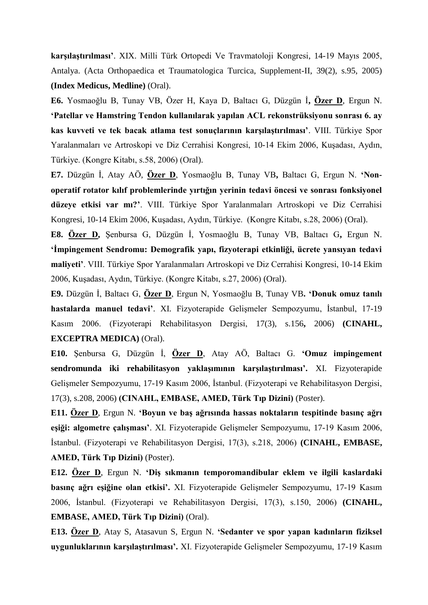**karşılaştırılması'**. XIX. Milli Türk Ortopedi Ve Travmatoloji Kongresi, 14-19 Mayıs 2005, Antalya. (Acta Orthopaedica et Traumatologica Turcica, Supplement-II, 39(2), s.95, 2005) **(Index Medicus, Medline)** (Oral).

**E6.** Yosmaoğlu B, Tunay VB, Özer H, Kaya D, Baltacı G, Düzgün İ**, Özer D**, Ergun N. **'Patellar ve Hamstring Tendon kullanılarak yapılan ACL rekonstrüksiyonu sonrası 6. ay kas kuvveti ve tek bacak atlama test sonuçlarının karşılaştırılması'**. VIII. Türkiye Spor Yaralanmaları ve Artroskopi ve Diz Cerrahisi Kongresi, 10-14 Ekim 2006, Kuşadası, Aydın, Türkiye. (Kongre Kitabı, s.58, 2006) (Oral).

**E7.** Düzgün İ, Atay AÖ, **Özer D**, Yosmaoğlu B, Tunay VB**,** Baltacı G, Ergun N. **'Nonoperatif rotator kılıf problemlerinde yırtığın yerinin tedavi öncesi ve sonrası fonksiyonel düzeye etkisi var mı?'**. VIII. Türkiye Spor Yaralanmaları Artroskopi ve Diz Cerrahisi Kongresi, 10-14 Ekim 2006, Kuşadası, Aydın, Türkiye. (Kongre Kitabı, s.28, 2006) (Oral).

**E8. Özer D,** Şenbursa G, Düzgün İ, Yosmaoğlu B, Tunay VB, Baltacı G**,** Ergun N. **'İmpingement Sendromu: Demografik yapı, fizyoterapi etkinliği, ücrete yansıyan tedavi maliyeti'**. VIII. Türkiye Spor Yaralanmaları Artroskopi ve Diz Cerrahisi Kongresi, 10-14 Ekim 2006, Kuşadası, Aydın, Türkiye. (Kongre Kitabı, s.27, 2006) (Oral).

**E9.** Düzgün İ, Baltacı G, **Özer D**, Ergun N, Yosmaoğlu B, Tunay VB**. 'Donuk omuz tanılı hastalarda manuel tedavi'**. XI. Fizyoterapide Gelişmeler Sempozyumu, İstanbul, 17-19 Kasım 2006. (Fizyoterapi Rehabilitasyon Dergisi, 17(3), s.156**,** 2006) **(CINAHL, EXCEPTRA MEDICA)** (Oral).

**E10.** Şenbursa G, Düzgün İ, **Özer D**, Atay AÖ, Baltacı G. **'Omuz impingement sendromunda iki rehabilitasyon yaklaşımının karşılaştırılması'.** XI. Fizyoterapide Gelişmeler Sempozyumu, 17-19 Kasım 2006, İstanbul. (Fizyoterapi ve Rehabilitasyon Dergisi, 17(3), s.208, 2006) **(CINAHL, EMBASE, AMED, Türk Tıp Dizini)** (Poster).

**E11. Özer D**, Ergun N. **'Boyun ve baş ağrısında hassas noktaların tespitinde basınç ağrı eşiği: algometre çalışması'**. XI. Fizyoterapide Gelişmeler Sempozyumu, 17-19 Kasım 2006, İstanbul. (Fizyoterapi ve Rehabilitasyon Dergisi, 17(3), s.218, 2006) **(CINAHL, EMBASE, AMED, Türk Tıp Dizini)** (Poster).

**E12. Özer D**, Ergun N. **'Diş sıkmanın temporomandibular eklem ve ilgili kaslardaki basınç ağrı eşiğine olan etkisi'.** XI. Fizyoterapide Gelişmeler Sempozyumu, 17-19 Kasım 2006, İstanbul. (Fizyoterapi ve Rehabilitasyon Dergisi, 17(3), s.150, 2006) **(CINAHL, EMBASE, AMED, Türk Tıp Dizini)** (Oral).

**E13. Özer D**, Atay S, Atasavun S, Ergun N. **'Sedanter ve spor yapan kadınların fiziksel uygunluklarının karşılaştırılması'.** XI. Fizyoterapide Gelişmeler Sempozyumu, 17-19 Kasım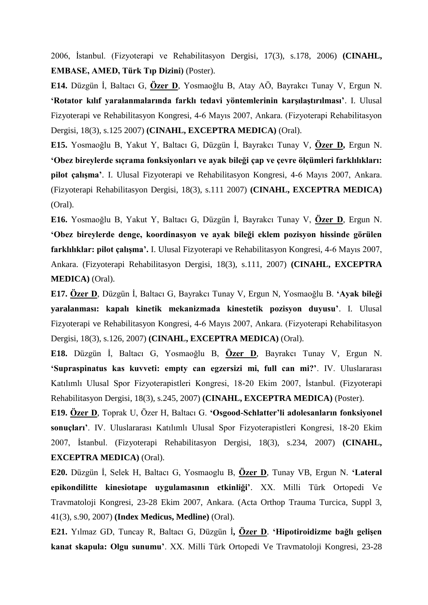2006, İstanbul. (Fizyoterapi ve Rehabilitasyon Dergisi, 17(3), s.178, 2006) **(CINAHL, EMBASE, AMED, Türk Tıp Dizini)** (Poster).

**E14.** Düzgün İ, Baltacı G, **Özer D**, Yosmaoğlu B, Atay AÖ, Bayrakcı Tunay V, Ergun N. **'Rotator kılıf yaralanmalarında farklı tedavi yöntemlerinin karşılaştırılması'**. I. Ulusal Fizyoterapi ve Rehabilitasyon Kongresi, 4-6 Mayıs 2007, Ankara. (Fizyoterapi Rehabilitasyon Dergisi, 18(3), s.125 2007) **(CINAHL, EXCEPTRA MEDICA)** (Oral).

**E15.** Yosmaoğlu B, Yakut Y, Baltacı G, Düzgün İ, Bayrakcı Tunay V, **Özer D,** Ergun N. **'Obez bireylerde sıçrama fonksiyonları ve ayak bileği çap ve çevre ölçümleri farklılıkları: pilot çalışma'**. I. Ulusal Fizyoterapi ve Rehabilitasyon Kongresi, 4-6 Mayıs 2007, Ankara. (Fizyoterapi Rehabilitasyon Dergisi, 18(3), s.111 2007) **(CINAHL, EXCEPTRA MEDICA)** (Oral).

**E16.** Yosmaoğlu B, Yakut Y, Baltacı G, Düzgün İ, Bayrakcı Tunay V, **Özer D**, Ergun N. **'Obez bireylerde denge, koordinasyon ve ayak bileği eklem pozisyon hissinde görülen farklılıklar: pilot çalışma'.** I. Ulusal Fizyoterapi ve Rehabilitasyon Kongresi, 4-6 Mayıs 2007, Ankara. (Fizyoterapi Rehabilitasyon Dergisi, 18(3), s.111, 2007) **(CINAHL, EXCEPTRA MEDICA)** (Oral).

**E17. Özer D**, Düzgün İ, Baltacı G, Bayrakcı Tunay V, Ergun N, Yosmaoğlu B. **'Ayak bileği yaralanması: kapalı kinetik mekanizmada kinestetik pozisyon duyusu'**. I. Ulusal Fizyoterapi ve Rehabilitasyon Kongresi, 4-6 Mayıs 2007, Ankara. (Fizyoterapi Rehabilitasyon Dergisi, 18(3), s.126, 2007) **(CINAHL, EXCEPTRA MEDICA)** (Oral).

**E18.** Düzgün İ, Baltacı G, Yosmaoğlu B, **Özer D**, Bayrakcı Tunay V, Ergun N. **'Supraspinatus kas kuvveti: empty can egzersizi mi, full can mi?'**. IV. Uluslararası Katılımlı Ulusal Spor Fizyoterapistleri Kongresi, 18-20 Ekim 2007, İstanbul. (Fizyoterapi Rehabilitasyon Dergisi, 18(3), s.245, 2007) **(CINAHL, EXCEPTRA MEDICA)** (Poster).

**E19. Özer D**, Toprak U, Özer H, Baltacı G. **'Osgood-Schlatter'li adolesanların fonksiyonel sonuçları'**. IV. Uluslararası Katılımlı Ulusal Spor Fizyoterapistleri Kongresi, 18-20 Ekim 2007, İstanbul. (Fizyoterapi Rehabilitasyon Dergisi, 18(3), s.234, 2007) **(CINAHL, EXCEPTRA MEDICA)** (Oral).

**E20.** Düzgün İ, Selek H, Baltacı G, Yosmaoglu B, **Özer D**, Tunay VB, Ergun N. **'Lateral epikondilitte kinesiotape uygulamasının etkinliği'**. XX. Milli Türk Ortopedi Ve Travmatoloji Kongresi, 23-28 Ekim 2007, Ankara. (Acta Orthop Trauma Turcica, Suppl 3, 41(3), s.90, 2007) **(Index Medicus, Medline)** (Oral).

**E21.** Yılmaz GD, Tuncay R, Baltacı G, Düzgün İ**, Özer D**. **'Hipotiroidizme bağlı gelişen kanat skapula: Olgu sunumu'**. XX. Milli Türk Ortopedi Ve Travmatoloji Kongresi, 23-28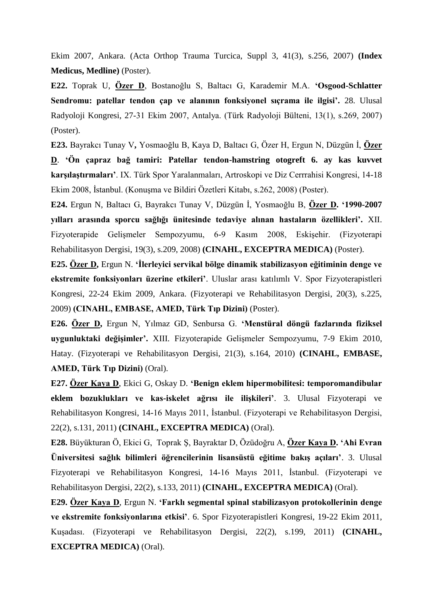Ekim 2007, Ankara. (Acta Orthop Trauma Turcica, Suppl 3, 41(3), s.256, 2007) **(Index Medicus, Medline)** (Poster).

**E22.** Toprak U, **Özer D**, Bostanoğlu S, Baltacı G, Karademir M.A. **'Osgood-Schlatter Sendromu: patellar tendon çap ve alanının fonksiyonel sıçrama ile ilgisi'.** 28. Ulusal Radyoloji Kongresi, 27-31 Ekim 2007, Antalya. (Türk Radyoloji Bülteni, 13(1), s.269, 2007) (Poster).

**E23.** Bayrakcı Tunay V**,** Yosmaoğlu B, Kaya D, Baltacı G, Özer H, Ergun N, Düzgün İ, **Özer D**. **'Ön çapraz bağ tamiri: Patellar tendon-hamstring otogreft 6. ay kas kuvvet karşılaştırmaları'**. IX. Türk Spor Yaralanmaları, Artroskopi ve Diz Cerrrahisi Kongresi, 14-18 Ekim 2008, İstanbul. (Konuşma ve Bildiri Özetleri Kitabı, s.262, 2008) (Poster).

**E24.** Ergun N, Baltacı G, Bayrakcı Tunay V, Düzgün İ, Yosmaoğlu B, **Özer D. '1990-2007 yılları arasında sporcu sağlığı ünitesinde tedaviye alınan hastaların özellikleri'.** XII. Fizyoterapide Gelişmeler Sempozyumu, 6-9 Kasım 2008, Eskişehir. (Fizyoterapi Rehabilitasyon Dergisi, 19(3), s.209, 2008) **(CINAHL, EXCEPTRA MEDICA)** (Poster).

**E25. Özer D,** Ergun N. **'İlerleyici servikal bölge dinamik stabilizasyon eğitiminin denge ve ekstremite fonksiyonları üzerine etkileri'**. Uluslar arası katılımlı V. Spor Fizyoterapistleri Kongresi, 22-24 Ekim 2009, Ankara. (Fizyoterapi ve Rehabilitasyon Dergisi, 20(3), s.225, 2009) **(CINAHL, EMBASE, AMED, Türk Tıp Dizini)** (Poster).

**E26. Özer D,** Ergun N, Yılmaz GD, Senbursa G. **'Menstüral döngü fazlarında fiziksel uygunluktaki değişimler'.** XIII. Fizyoterapide Gelişmeler Sempozyumu, 7-9 Ekim 2010, Hatay. (Fizyoterapi ve Rehabilitasyon Dergisi, 21(3), s.164, 2010) **(CINAHL, EMBASE, AMED, Türk Tıp Dizini)** (Oral).

**E27. Özer Kaya D**, Ekici G, Oskay D. **'Benign eklem hipermobilitesi: temporomandibular eklem bozuklukları ve kas-iskelet ağrısı ile ilişkileri'**. 3. Ulusal Fizyoterapi ve Rehabilitasyon Kongresi, 14-16 Mayıs 2011, İstanbul. (Fizyoterapi ve Rehabilitasyon Dergisi, 22(2), s.131, 2011) **(CINAHL, EXCEPTRA MEDICA)** (Oral).

**E28.** Büyükturan Ö, Ekici G, Toprak Ş, Bayraktar D, Özüdoğru A, **Özer Kaya D. 'Ahi Evran Üniversitesi sağlık bilimleri öğrencilerinin lisansüstü eğitime bakış açıları'**. 3. Ulusal Fizyoterapi ve Rehabilitasyon Kongresi, 14-16 Mayıs 2011, İstanbul. (Fizyoterapi ve Rehabilitasyon Dergisi, 22(2), s.133, 2011) **(CINAHL, EXCEPTRA MEDICA)** (Oral).

**E29. Özer Kaya D**, Ergun N. **'Farklı segmental spinal stabilizasyon protokollerinin denge ve ekstremite fonksiyonlarına etkisi'**. 6. Spor Fizyoterapistleri Kongresi, 19-22 Ekim 2011, Kuşadası. (Fizyoterapi ve Rehabilitasyon Dergisi, 22(2), s.199, 2011) **(CINAHL, EXCEPTRA MEDICA)** (Oral).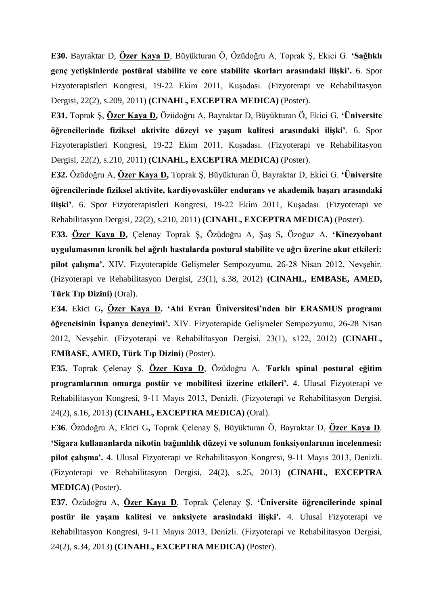**E30.** Bayraktar D, **Özer Kaya D**, Büyükturan Ö, Özüdoğru A, Toprak Ş, Ekici G. **'Sağlıklı genç yetişkinlerde postüral stabilite ve core stabilite skorları arasındaki ilişki'.** 6. Spor Fizyoterapistleri Kongresi, 19-22 Ekim 2011, Kuşadası. (Fizyoterapi ve Rehabilitasyon Dergisi, 22(2), s.209, 2011) **(CINAHL, EXCEPTRA MEDICA)** (Poster).

**E31.** Toprak Ş, **Özer Kaya D,** Özüdoğru A, Bayraktar D, Büyükturan Ö, Ekici G. **'Üniversite öğrencilerinde fiziksel aktivite düzeyi ve yaşam kalitesi arasındaki ilişki'**. 6. Spor Fizyoterapistleri Kongresi, 19-22 Ekim 2011, Kuşadası. (Fizyoterapi ve Rehabilitasyon Dergisi, 22(2), s.210, 2011) **(CINAHL, EXCEPTRA MEDICA)** (Poster).

**E32.** Özüdoğru A, **Özer Kaya D,** Toprak Ş, Büyükturan Ö, Bayraktar D, Ekici G. **'Üniversite öğrencilerinde fiziksel aktivite, kardiyovasküler endurans ve akademik başarı arasındaki ilişki'**. 6. Spor Fizyoterapistleri Kongresi, 19-22 Ekim 2011, Kuşadası. (Fizyoterapi ve Rehabilitasyon Dergisi, 22(2), s.210, 2011) **(CINAHL, EXCEPTRA MEDICA)** (Poster).

**E33. Özer Kaya D,** Çelenay Toprak Ş, Özüdoğru A, Şaş S**,** Özoğuz A. **'Kinezyobant uygulamasının kronik bel ağrılı hastalarda postural stabilite ve ağrı üzerine akut etkileri: pilot çalışma'.** XIV. Fizyoterapide Gelişmeler Sempozyumu, 26-28 Nisan 2012, Nevşehir. (Fizyoterapi ve Rehabilitasyon Dergisi, 23(1), s.38, 2012) **(CINAHL, EMBASE, AMED, Türk Tıp Dizini)** (Oral).

**E34.** Ekici G**, Özer Kaya D. 'Ahi Evran Üniversitesi'nden bir ERASMUS programı öğrencisinin İspanya deneyimi'.** XIV. Fizyoterapide Gelişmeler Sempozyumu, 26-28 Nisan 2012, Nevşehir. (Fizyoterapi ve Rehabilitasyon Dergisi, 23(1), s122, 2012) **(CINAHL, EMBASE, AMED, Türk Tıp Dizini)** (Poster).

**E35.** Toprak Çelenay Ş, **Özer Kaya D**, Özüdoğru A. '**Farklı spinal postural eğitim programlarının omurga postür ve mobilitesi üzerine etkileri'.** 4. Ulusal Fizyoterapi ve Rehabilitasyon Kongresi, 9-11 Mayıs 2013, Denizli. (Fizyoterapi ve Rehabilitasyon Dergisi, 24(2), s.16, 2013) **(CINAHL, EXCEPTRA MEDICA)** (Oral).

**E36**. Özüdoğru A, Ekici G**,** Toprak Çelenay Ş, Büyükturan Ö, Bayraktar D, **Özer Kaya D**. **'Sigara kullananlarda nikotin bağımlılık düzeyi ve solunum fonksiyonlarının incelenmesi: pilot çalışma'.** 4. Ulusal Fizyoterapi ve Rehabilitasyon Kongresi, 9-11 Mayıs 2013, Denizli. (Fizyoterapi ve Rehabilitasyon Dergisi, 24(2), s.25, 2013) **(CINAHL, EXCEPTRA MEDICA)** (Poster).

**E37.** Özüdoğru A, **Özer Kaya D**, Toprak Çelenay Ş. **'Üniversite öğrencilerinde spinal postür ile yaşam kalitesi ve anksiyete arasindaki ilişki'.** 4. Ulusal Fizyoterapi ve Rehabilitasyon Kongresi, 9-11 Mayıs 2013, Denizli. (Fizyoterapi ve Rehabilitasyon Dergisi, 24(2), s.34, 2013) **(CINAHL, EXCEPTRA MEDICA)** (Poster).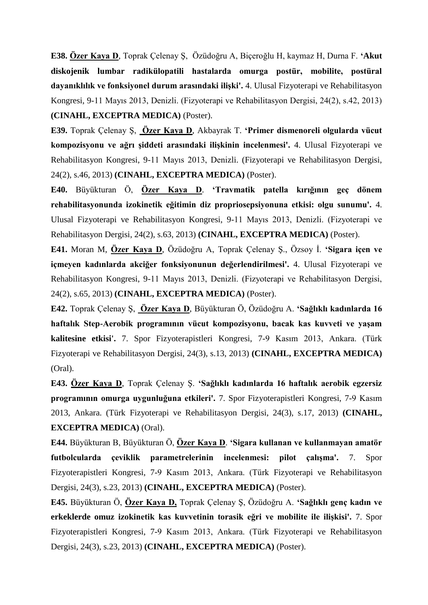**E38. Özer Kaya D**, Toprak Çelenay Ş, Özüdoğru A, Biçeroğlu H, kaymaz H, Durna F. **'Akut diskojenik lumbar radikülopatili hastalarda omurga postür, mobilite, postüral dayanıklılık ve fonksiyonel durum arasındaki ilişki'.** 4. Ulusal Fizyoterapi ve Rehabilitasyon Kongresi, 9-11 Mayıs 2013, Denizli. (Fizyoterapi ve Rehabilitasyon Dergisi, 24(2), s.42, 2013) **(CINAHL, EXCEPTRA MEDICA)** (Poster).

**E39.** Toprak Çelenay Ş, **Özer Kaya D**, Akbayrak T. **'Primer dismenoreli olgularda vücut kompozisyonu ve ağrı şiddeti arasındaki ilişkinin incelenmesi'.** 4. Ulusal Fizyoterapi ve Rehabilitasyon Kongresi, 9-11 Mayıs 2013, Denizli. (Fizyoterapi ve Rehabilitasyon Dergisi, 24(2), s.46, 2013) **(CINAHL, EXCEPTRA MEDICA)** (Poster).

**E40.** Büyükturan Ö, **Özer Kaya D**. **'Travmatik patella kırığının geç dönem rehabilitasyonunda izokinetik eğitimin diz propriosepsiyonuna etkisi: olgu sunumu'.** 4. Ulusal Fizyoterapi ve Rehabilitasyon Kongresi, 9-11 Mayıs 2013, Denizli. (Fizyoterapi ve Rehabilitasyon Dergisi, 24(2), s.63, 2013) **(CINAHL, EXCEPTRA MEDICA)** (Poster).

**E41.** Moran M, **Özer Kaya D**, Özüdoğru A, Toprak Çelenay Ş., Özsoy İ. **'Sigara içen ve içmeyen kadınlarda akciğer fonksiyonunun değerlendirilmesi'.** 4. Ulusal Fizyoterapi ve Rehabilitasyon Kongresi, 9-11 Mayıs 2013, Denizli. (Fizyoterapi ve Rehabilitasyon Dergisi, 24(2), s.65, 2013) **(CINAHL, EXCEPTRA MEDICA)** (Poster).

**E42.** Toprak Çelenay Ş, **Özer Kaya D**, Büyükturan Ö, Özüdoğru A. **'Sağlıklı kadınlarda 16 haftalık Step-Aerobik programının vücut kompozisyonu, bacak kas kuvveti ve yaşam kalitesine etkisi'.** 7. Spor Fizyoterapistleri Kongresi, 7-9 Kasım 2013, Ankara. (Türk Fizyoterapi ve Rehabilitasyon Dergisi, 24(3), s.13, 2013) **(CINAHL, EXCEPTRA MEDICA)** (Oral).

**E43. Özer Kaya D**, Toprak Çelenay Ş. **'Sağlıklı kadınlarda 16 haftalık aerobik egzersiz programının omurga uygunluğuna etkileri'.** 7. Spor Fizyoterapistleri Kongresi, 7-9 Kasım 2013, Ankara. (Türk Fizyoterapi ve Rehabilitasyon Dergisi, 24(3), s.17, 2013) **(CINAHL, EXCEPTRA MEDICA)** (Oral).

**E44.** Büyükturan B, Büyükturan Ö, **Özer Kaya D**. **'Sigara kullanan ve kullanmayan amatör futbolcularda çeviklik parametrelerinin incelenmesi: pilot çalışma'.** 7. Spor Fizyoterapistleri Kongresi, 7-9 Kasım 2013, Ankara. (Türk Fizyoterapi ve Rehabilitasyon Dergisi, 24(3), s.23, 2013) **(CINAHL, EXCEPTRA MEDICA)** (Poster).

**E45.** Büyükturan Ö, **Özer Kaya D,** Toprak Çelenay Ş, Özüdoğru A. **'Sağlıklı genç kadın ve erkeklerde omuz izokinetik kas kuvvetinin torasik eğri ve mobilite ile ilişkisi'.** 7. Spor Fizyoterapistleri Kongresi, 7-9 Kasım 2013, Ankara. (Türk Fizyoterapi ve Rehabilitasyon Dergisi, 24(3), s.23, 2013) **(CINAHL, EXCEPTRA MEDICA)** (Poster).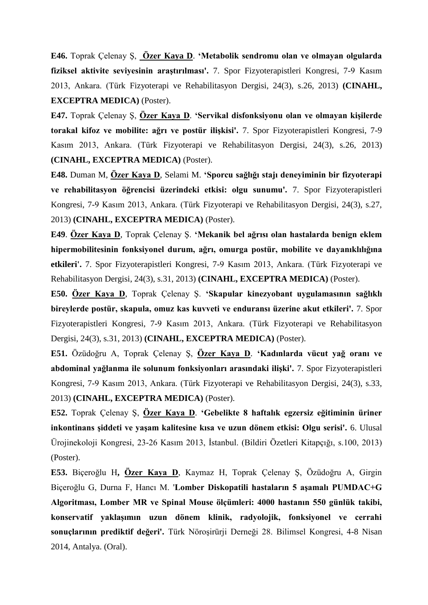**E46.** Toprak Çelenay Ş, **Özer Kaya D**. **'Metabolik sendromu olan ve olmayan olgularda fiziksel aktivite seviyesinin araştırılması'.** 7. Spor Fizyoterapistleri Kongresi, 7-9 Kasım 2013, Ankara. (Türk Fizyoterapi ve Rehabilitasyon Dergisi, 24(3), s.26, 2013) **(CINAHL, EXCEPTRA MEDICA)** (Poster).

**E47.** Toprak Çelenay Ş, **Özer Kaya D**. **'Servikal disfonksiyonu olan ve olmayan kişilerde torakal kifoz ve mobilite: ağrı ve postür ilişkisi'.** 7. Spor Fizyoterapistleri Kongresi, 7-9 Kasım 2013, Ankara. (Türk Fizyoterapi ve Rehabilitasyon Dergisi, 24(3), s.26, 2013) **(CINAHL, EXCEPTRA MEDICA)** (Poster).

**E48.** Duman M, **Özer Kaya D**, Selami M. **'Sporcu sağlığı stajı deneyiminin bir fizyoterapi ve rehabilitasyon öğrencisi üzerindeki etkisi: olgu sunumu'.** 7. Spor Fizyoterapistleri Kongresi, 7-9 Kasım 2013, Ankara. (Türk Fizyoterapi ve Rehabilitasyon Dergisi, 24(3), s.27, 2013) **(CINAHL, EXCEPTRA MEDICA)** (Poster).

**E49**. **Özer Kaya D**, Toprak Çelenay Ş. **'Mekanik bel ağrısı olan hastalarda benign eklem hipermobilitesinin fonksiyonel durum, ağrı, omurga postür, mobilite ve dayanıklılığına etkileri'.** 7. Spor Fizyoterapistleri Kongresi, 7-9 Kasım 2013, Ankara. (Türk Fizyoterapi ve Rehabilitasyon Dergisi, 24(3), s.31, 2013) **(CINAHL, EXCEPTRA MEDICA)** (Poster).

**E50. Özer Kaya D**, Toprak Çelenay Ş. **'Skapular kinezyobant uygulamasının sağlıklı bireylerde postür, skapula, omuz kas kuvveti ve enduransı üzerine akut etkileri'.** 7. Spor Fizyoterapistleri Kongresi, 7-9 Kasım 2013, Ankara. (Türk Fizyoterapi ve Rehabilitasyon Dergisi, 24(3), s.31, 2013) **(CINAHL, EXCEPTRA MEDICA)** (Poster).

**E51.** Özüdoğru A, Toprak Çelenay Ş, **Özer Kaya D**. **'Kadınlarda vücut yağ oranı ve abdominal yağlanma ile solunum fonksiyonları arasındaki ilişki'.** 7. Spor Fizyoterapistleri Kongresi, 7-9 Kasım 2013, Ankara. (Türk Fizyoterapi ve Rehabilitasyon Dergisi, 24(3), s.33, 2013) **(CINAHL, EXCEPTRA MEDICA)** (Poster).

**E52.** Toprak Çelenay Ş, **Özer Kaya D**. **'Gebelikte 8 haftalık egzersiz eğitiminin üriner inkontinans şiddeti ve yaşam kalitesine kısa ve uzun dönem etkisi: Olgu serisi'.** 6. Ulusal Ürojinekoloji Kongresi, 23-26 Kasım 2013, İstanbul. (Bildiri Özetleri Kitapçığı, s.100, 2013) (Poster).

**E53.** Biçeroğlu H**, Özer Kaya D**, Kaymaz H, Toprak Çelenay Ş, Özüdoğru A, Girgin Biçeroğlu G, Durna F, Hancı M. '**Lomber Diskopatili hastaların 5 aşamalı PUMDAC+G Algoritması, Lomber MR ve Spinal Mouse ölçümleri: 4000 hastanın 550 günlük takibi, konservatif yaklaşımın uzun dönem klinik, radyolojik, fonksiyonel ve cerrahi sonuçlarının prediktif değeri'.** Türk Nöroşirürji Derneği 28. Bilimsel Kongresi, 4-8 Nisan 2014, Antalya. (Oral).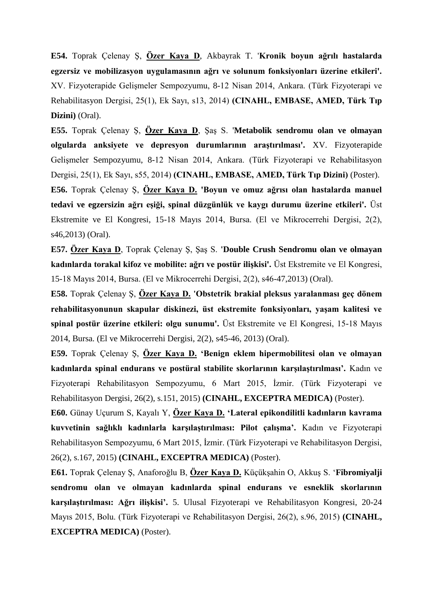**E54.** Toprak Çelenay Ş, **Özer Kaya D**, Akbayrak T. '**Kronik boyun ağrılı hastalarda egzersiz ve mobilizasyon uygulamasının ağrı ve solunum fonksiyonları üzerine etkileri'.**  XV. Fizyoterapide Gelişmeler Sempozyumu, 8-12 Nisan 2014, Ankara. (Türk Fizyoterapi ve Rehabilitasyon Dergisi, 25(1), Ek Sayı, s13, 2014) **(CINAHL, EMBASE, AMED, Türk Tıp Dizini)** (Oral).

**E55.** Toprak Çelenay Ş, **Özer Kaya D**, Şaş S. '**Metabolik sendromu olan ve olmayan olgularda anksiyete ve depresyon durumlarının araştırılması'.** XV. Fizyoterapide Gelişmeler Sempozyumu, 8-12 Nisan 2014, Ankara. (Türk Fizyoterapi ve Rehabilitasyon Dergisi, 25(1), Ek Sayı, s55, 2014) **(CINAHL, EMBASE, AMED, Türk Tıp Dizini)** (Poster). **E56.** Toprak Çelenay Ş, **Özer Kaya D. 'Boyun ve omuz ağrısı olan hastalarda manuel tedavi ve egzersizin ağrı eşiği, spinal düzgünlük ve kaygı durumu üzerine etkileri'.** Üst Ekstremite ve El Kongresi, 15-18 Mayıs 2014, Bursa. (El ve Mikrocerrehi Dergisi, 2(2), s46,2013) (Oral).

**E57. Özer Kaya D**, Toprak Çelenay Ş, Şaş S. **'Double Crush Sendromu olan ve olmayan kadınlarda torakal kifoz ve mobilite: ağrı ve postür ilişkisi'.** Üst Ekstremite ve El Kongresi, 15-18 Mayıs 2014, Bursa. (El ve Mikrocerrehi Dergisi, 2(2), s46-47,2013) (Oral).

**E58.** Toprak Çelenay Ş, **Özer Kaya D. 'Obstetrik brakial pleksus yaralanması geç dönem rehabilitasyonunun skapular diskinezi, üst ekstremite fonksiyonları, yaşam kalitesi ve spinal postür üzerine etkileri: olgu sunumu'.** Üst Ekstremite ve El Kongresi, 15-18 Mayıs 2014, Bursa. (El ve Mikrocerrehi Dergisi, 2(2), s45-46, 2013) (Oral).

**E59.** Toprak Çelenay Ş, **Özer Kaya D. 'Benign eklem hipermobilitesi olan ve olmayan kadınlarda spinal endurans ve postüral stabilite skorlarının karşılaştırılması'.** Kadın ve Fizyoterapi Rehabilitasyon Sempozyumu, 6 Mart 2015, İzmir. (Türk Fizyoterapi ve Rehabilitasyon Dergisi, 26(2), s.151, 2015) **(CINAHL, EXCEPTRA MEDICA)** (Poster).

**E60.** Günay Uçurum S, Kayalı Y, **Özer Kaya D. 'Lateral epikondilitli kadınların kavrama kuvvetinin sağlıklı kadınlarla karşılaştırılması: Pilot çalışma'.** Kadın ve Fizyoterapi Rehabilitasyon Sempozyumu, 6 Mart 2015, İzmir. (Türk Fizyoterapi ve Rehabilitasyon Dergisi, 26(2), s.167, 2015) **(CINAHL, EXCEPTRA MEDICA)** (Poster).

**E61.** Toprak Çelenay Ş, Anaforoğlu B, **Özer Kaya D.** Küçükşahin O, Akkuş S. '**Fibromiyalji sendromu olan ve olmayan kadınlarda spinal endurans ve esneklik skorlarının karşılaştırılması: Ağrı ilişkisi'.** 5. Ulusal Fizyoterapi ve Rehabilitasyon Kongresi, 20-24 Mayıs 2015, Bolu. (Türk Fizyoterapi ve Rehabilitasyon Dergisi, 26(2), s.96, 2015) **(CINAHL, EXCEPTRA MEDICA)** (Poster).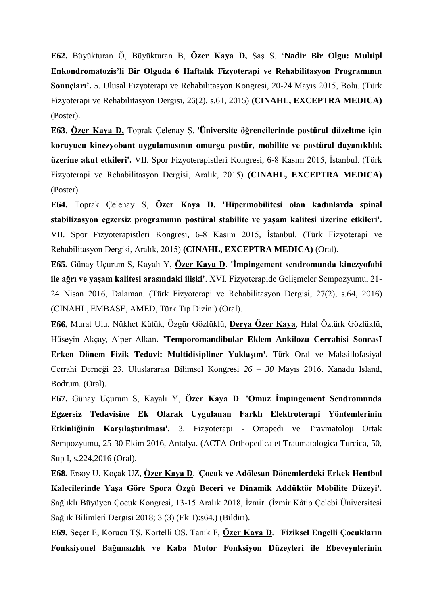**E62.** Büyükturan Ö, Büyükturan B, **Özer Kaya D,** Şaş S. '**Nadir Bir Olgu: Multipl Enkondromatozis'li Bir Olguda 6 Haftalık Fizyoterapi ve Rehabilitasyon Programının Sonuçları'.** 5. Ulusal Fizyoterapi ve Rehabilitasyon Kongresi, 20-24 Mayıs 2015, Bolu. (Türk Fizyoterapi ve Rehabilitasyon Dergisi, 26(2), s.61, 2015) **(CINAHL, EXCEPTRA MEDICA)** (Poster).

**E63**. **Özer Kaya D,** Toprak Çelenay Ş. '**Üniversite öğrencilerinde postüral düzeltme için koruyucu kinezyobant uygulamasının omurga postür, mobilite ve postüral dayanıklılık üzerine akut etkileri'.** VII. Spor Fizyoterapistleri Kongresi, 6-8 Kasım 2015, İstanbul. (Türk Fizyoterapi ve Rehabilitasyon Dergisi, Aralık, 2015) **(CINAHL, EXCEPTRA MEDICA)** (Poster).

**E64.** Toprak Çelenay Ş, **Özer Kaya D. 'Hipermobilitesi olan kadınlarda spinal stabilizasyon egzersiz programının postüral stabilite ve yaşam kalitesi üzerine etkileri'.** VII. Spor Fizyoterapistleri Kongresi, 6-8 Kasım 2015, İstanbul. (Türk Fizyoterapi ve Rehabilitasyon Dergisi, Aralık, 2015) **(CINAHL, EXCEPTRA MEDICA)** (Oral).

**E65.** Günay Uçurum S, Kayalı Y, **Özer Kaya D**. **'İmpingement sendromunda kinezyofobi ile ağrı ve yaşam kalitesi arasındaki ilişki'**. XVI. Fizyoterapide Gelişmeler Sempozyumu, 21- 24 Nisan 2016, Dalaman. (Türk Fizyoterapi ve Rehabilitasyon Dergisi, 27(2), s.64, 2016) (CINAHL, EMBASE, AMED, Türk Tıp Dizini) (Oral).

**E66.** Murat Ulu, Nükhet Kütük, Özgür Gözlüklü, **Derya Özer Kaya**, Hilal Öztürk Gözlüklü, Hüseyin Akçay, Alper Alkan**. 'Temporomandibular Eklem Ankilozu Cerrahisi SonrasI Erken Dönem Fizik Tedavi: Multidisipliner Yaklaşım'.** Türk Oral ve Maksillofasiyal Cerrahi Derneği 23. Uluslararası Bilimsel Kongresi *26 – 30* Mayıs 2016. Xanadu Island, Bodrum*.* (Oral).

**E67.** Günay Uçurum S, Kayalı Y, **Özer Kaya D**. **'Omuz İmpingement Sendromunda Egzersiz Tedavisine Ek Olarak Uygulanan Farklı Elektroterapi Yöntemlerinin Etkinliğinin Karşılaştırılması'.** 3. Fizyoterapi - Ortopedi ve Travmatoloji Ortak Sempozyumu, 25-30 Ekim 2016, Antalya. (ACTA Orthopedica et Traumatologica Turcica, 50, Sup I, s.224,2016 (Oral).

**E68.** Ersoy U, Koçak UZ, **Özer Kaya D**. '**Çocuk ve Adölesan Dönemlerdeki Erkek Hentbol Kalecilerinde Yaşa Göre Spora Özgü Beceri ve Dinamik Addüktör Mobilite Düzeyi'.**  Sağlıklı Büyüyen Çocuk Kongresi, 13-15 Aralık 2018, İzmir. (İzmir Kâtip Çelebi Üniversitesi Sağlık Bilimleri Dergisi 2018; 3 (3) (Ek 1):s64.) (Bildiri).

**E69.** Seçer E, Korucu TŞ, Kortelli OS, Tanık F, **Özer Kaya D**. '**Fiziksel Engelli Çocukların Fonksiyonel Bağımsızlık ve Kaba Motor Fonksiyon Düzeyleri ile Ebeveynlerinin**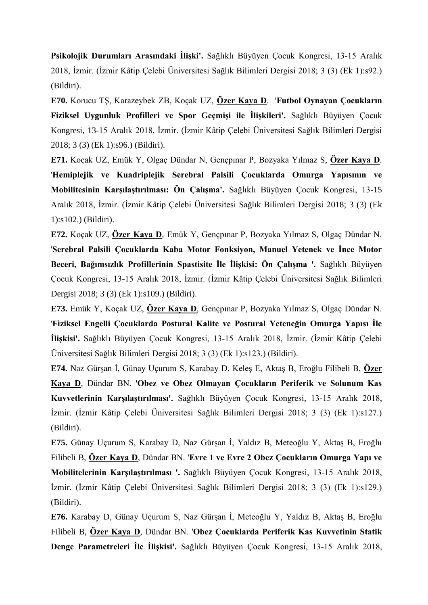**Psikolojik Durumları Arasındaki İlişki'.** Sağlıklı Büyüyen Çocuk Kongresi, 13-15 Aralık 2018, İzmir. (İzmir Kâtip Çelebi Üniversitesi Sağlık Bilimleri Dergisi 2018; 3 (3) (Ek 1):s92.) (Bildiri).

**E70.** Korucu TŞ, Karazeybek ZB, Koçak UZ, **Özer Kaya D**. '**Futbol Oynayan Çocukların Fiziksel Uygunluk Profilleri ve Spor Geçmişi ile İlişkileri'.** Sağlıklı Büyüyen Çocuk Kongresi, 13-15 Aralık 2018, İzmir. (İzmir Kâtip Çelebi Üniversitesi Sağlık Bilimleri Dergisi 2018; 3 (3) (Ek 1):s96.) (Bildiri).

**E71.** Koçak UZ, Emük Y, Olgaç Dündar N, Gençpınar P, Bozyaka Yılmaz S, **Özer Kaya D**. '**Hemiplejik ve Kuadriplejik Serebral Palsili Çocuklarda Omurga Yapısının ve Mobilitesinin Karşılaştırılması: Ön Çalışma'.** Sağlıklı Büyüyen Çocuk Kongresi, 13-15 Aralık 2018, İzmir. (İzmir Kâtip Çelebi Üniversitesi Sağlık Bilimleri Dergisi 2018; 3 (3) (Ek 1):s102.) (Bildiri).

**E72.** Koçak UZ, **Özer Kaya D**, Emük Y, Gençpınar P, Bozyaka Yılmaz S, Olgaç Dündar N. '**Serebral Palsili Çocuklarda Kaba Motor Fonksiyon, Manuel Yetenek ve İnce Motor Beceri, Bağımsızlık Profillerinin Spastisite İle İlişkisi: Ön Çalışma '.** Sağlıklı Büyüyen Çocuk Kongresi, 13-15 Aralık 2018, İzmir. (İzmir Kâtip Çelebi Üniversitesi Sağlık Bilimleri Dergisi 2018; 3 (3) (Ek 1):s109.) (Bildiri).

**E73.** Emük Y, Koçak UZ, **Özer Kaya D**, Gençpınar P, Bozyaka Yılmaz S, Olgaç Dündar N. '**Fiziksel Engelli Çocuklarda Postural Kalite ve Postural Yeteneğin Omurga Yapısı İle İlişkisi'.** Sağlıklı Büyüyen Çocuk Kongresi, 13-15 Aralık 2018, İzmir. (İzmir Kâtip Çelebi Üniversitesi Sağlık Bilimleri Dergisi 2018; 3 (3) (Ek 1):s123.) (Bildiri).

**E74.** Naz Gürşan İ, Günay Uçurum S, Karabay D, Keleş E, Aktaş B, Eroğlu Filibeli B, **Özer Kaya D**, Dündar BN. '**Obez ve Obez Olmayan Çocukların Periferik ve Solunum Kas Kuvvetlerinin Karşılaştırılması'.** Sağlıklı Büyüyen Çocuk Kongresi, 13-15 Aralık 2018, İzmir. (İzmir Kâtip Çelebi Üniversitesi Sağlık Bilimleri Dergisi 2018; 3 (3) (Ek 1):s127.) (Bildiri).

**E75.** Günay Uçurum S, Karabay D, Naz Gürşan İ, Yaldız B, Meteoğlu Y, Aktaş B, Eroğlu Filibeli B, **Özer Kaya D**, Dündar BN. '**Evre 1 ve Evre 2 Obez Çocukların Omurga Yapı ve Mobilitelerinin Karşılaştırılması '.** Sağlıklı Büyüyen Çocuk Kongresi, 13-15 Aralık 2018, İzmir. (İzmir Kâtip Çelebi Üniversitesi Sağlık Bilimleri Dergisi 2018; 3 (3) (Ek 1):s129.) (Bildiri).

**E76.** Karabay D, Günay Uçurum S, Naz Gürşan İ, Meteoğlu Y, Yaldız B, Aktaş B, Eroğlu Filibeli B, **Özer Kaya D**, Dündar BN. '**Obez Çocuklarda Periferik Kas Kuvvetinin Statik Denge Parametreleri İle İlişkisi'.** Sağlıklı Büyüyen Çocuk Kongresi, 13-15 Aralık 2018,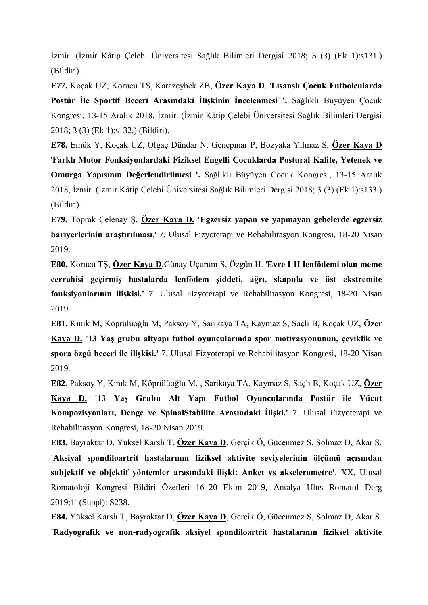İzmir. (İzmir Kâtip Çelebi Üniversitesi Sağlık Bilimleri Dergisi 2018; 3 (3) (Ek 1):s131.) (Bildiri).

**E77.** Koçak UZ, Korucu TŞ, Karazeybek ZB, **Özer Kaya D**. '**Lisanslı Çocuk Futbolcularda Postür İle Sportif Beceri Arasındaki İlişkinin İncelenmesi '.** Sağlıklı Büyüyen Çocuk Kongresi, 13-15 Aralık 2018, İzmir. (İzmir Kâtip Çelebi Üniversitesi Sağlık Bilimleri Dergisi 2018; 3 (3) (Ek 1):s132.) (Bildiri).

**E78.** Emük Y, Koçak UZ, Olgaç Dündar N, Gençpınar P, Bozyaka Yılmaz S, **Özer Kaya D** '**Farklı Motor Fonksiyonlardaki Fiziksel Engelli Çocuklarda Postural Kalite, Yetenek ve Omurga Yapısının Değerlendirilmesi '.** Sağlıklı Büyüyen Çocuk Kongresi, 13-15 Aralık 2018, İzmir. (İzmir Kâtip Çelebi Üniversitesi Sağlık Bilimleri Dergisi 2018; 3 (3) (Ek 1):s133.) (Bildiri).

**E79.** Toprak Çelenay Ş, **Özer Kaya D. 'Egzersiz yapan ve yapmayan gebelerde egzersiz bariyerlerinin araştırılması**.' 7. Ulusal Fizyoterapi ve Rehabilitasyon Kongresi, 18-20 Nisan 2019.

**E80.** Korucu TŞ, **Özer Kaya D**,Günay Uçurum S, Özgün H. '**Evre I-II lenfödemi olan meme cerrahisi geçirmiş hastalarda lenfödem şiddeti, ağrı, skapula ve üst ekstremite fonksiyonlarının ilişkisi.'** 7. Ulusal Fizyoterapi ve Rehabilitasyon Kongresi, 18-20 Nisan 2019.

**E81.** Kınık M, Köprülüoğlu M, Paksoy Y, Sarıkaya TA, Kaymaz S, Saçlı B, Koçak UZ, **Özer Kaya D. '13 Yaş grubu altyapı futbol oyuncularında spor motivasyonunun, çeviklik ve spora özgü beceri ile ilişkisi.'** 7. Ulusal Fizyoterapi ve Rehabilitasyon Kongresi, 18-20 Nisan 2019.

**E82.** Paksoy Y, Kınık M, Köprülüoğlu M, , Sarıkaya TA, Kaymaz S, Saçlı B, Koçak UZ, **Özer** 

**Kaya D. '13 Yaş Grubu Alt Yapı Futbol Oyuncularında Postür ile Vücut Kompozisyonları, Denge ve SpinalStabilite Arasındaki İlişki.'** 7. Ulusal Fizyoterapi ve Rehabilitasyon Kongresi, 18-20 Nisan 2019.

**E83.** Bayraktar D, Yüksel Karslı T, **Özer Kaya D**, Gerçik Ö, Gücenmez S, Solmaz D, Akar S. **'Aksiyal spondiloartrit hastalarının fiziksel aktivite seviyelerinin ölçümü açısından subjektif ve objektif yöntemler arasındaki ilişki: Anket vs akselerometre'**. XX. Ulusal Romatoloji Kongresi Bildiri Özetleri 16–20 Ekim 2019, Antalya Ulus Romatol Derg 2019;11(Suppl): S238.

**E84.** Yüksel Karslı T, Bayraktar D, **Özer Kaya D**, Gerçik Ö, Gücenmez S, Solmaz D, Akar S. **'Radyografik ve non-radyografik aksiyel spondiloartrit hastalarının fiziksel aktivite**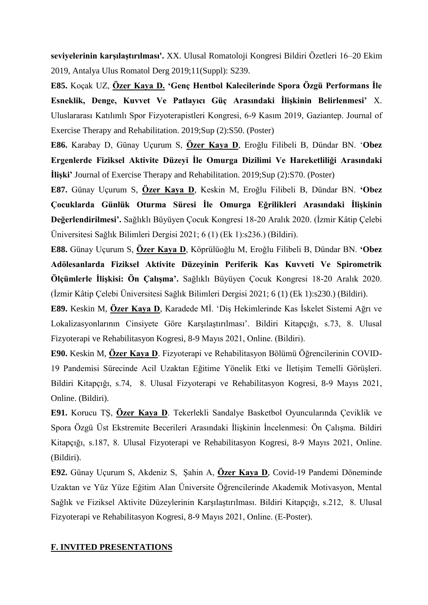**seviyelerinin karşılaştırılması'.** XX. Ulusal Romatoloji Kongresi Bildiri Özetleri 16–20 Ekim 2019, Antalya Ulus Romatol Derg 2019;11(Suppl): S239.

**E85.** Koçak UZ, **Özer Kaya D. 'Genç Hentbol Kalecilerinde Spora Özgü Performans İle Esneklik, Denge, Kuvvet Ve Patlayıcı Güç Arasındaki İlişkinin Belirlenmesi'** X. Uluslararası Katılımlı Spor Fizyoterapistleri Kongresi, 6-9 Kasım 2019, Gaziantep. Journal of Exercise Therapy and Rehabilitation. 2019;Sup (2):S50. (Poster)

**E86.** Karabay D, Günay Uçurum S, **Özer Kaya D**, Eroğlu Filibeli B, Dündar BN. '**Obez Ergenlerde Fiziksel Aktivite Düzeyi İle Omurga Dizilimi Ve Hareketliliği Arasındaki İlişki'** Journal of Exercise Therapy and Rehabilitation. 2019;Sup (2):S70. (Poster)

**E87.** Günay Uçurum S, **Özer Kaya D**, Keskin M, Eroğlu Filibeli B, Dündar BN. **'Obez Çocuklarda Günlük Oturma Süresi İle Omurga Eğrilikleri Arasındaki İlişkinin Değerlendirilmesi'.** Sağlıklı Büyüyen Çocuk Kongresi 18-20 Aralık 2020. (İzmir Kâtip Çelebi Üniversitesi Sağlık Bilimleri Dergisi 2021; 6 (1) (Ek 1):s236.) (Bildiri).

**E88.** Günay Uçurum S, **Özer Kaya D**, Köprülüoğlu M, Eroğlu Filibeli B, Dündar BN. **'Obez Adölesanlarda Fiziksel Aktivite Düzeyinin Periferik Kas Kuvveti Ve Spirometrik Ölçümlerle İlişkisi: Ön Çalışma'.** Sağlıklı Büyüyen Çocuk Kongresi 18-20 Aralık 2020. (İzmir Kâtip Çelebi Üniversitesi Sağlık Bilimleri Dergisi 2021; 6 (1) (Ek 1):s230.) (Bildiri).

**E89.** Keskin M, **Özer Kaya D**, Karadede Mİ. 'Diş Hekimlerinde Kas İskelet Sistemi Ağrı ve Lokalizasyonlarının Cinsiyete Göre Karşılaştırılması'. Bildiri Kitapçığı, s.73, 8. Ulusal Fizyoterapi ve Rehabilitasyon Kogresi, 8-9 Mayıs 2021, Online. (Bildiri).

**E90.** Keskin M, **Özer Kaya D**. Fizyoterapi ve Rehabilitasyon Bölümü Öğrencilerinin COVID-19 Pandemisi Sürecinde Acil Uzaktan Eğitime Yönelik Etki ve İletişim Temelli Görüşleri. Bildiri Kitapçığı, s.74, 8. Ulusal Fizyoterapi ve Rehabilitasyon Kogresi, 8-9 Mayıs 2021, Online. (Bildiri).

**E91.** Korucu TŞ, **Özer Kaya D**. Tekerlekli Sandalye Basketbol Oyuncularında Çeviklik ve Spora Özgü Üst Ekstremite Becerileri Arasındaki İlişkinin İncelenmesi: Ön Çalışma. Bildiri Kitapçığı, s.187, 8. Ulusal Fizyoterapi ve Rehabilitasyon Kogresi, 8-9 Mayıs 2021, Online. (Bildiri).

**E92.** Günay Uçurum S, Akdeniz S, Şahin A, **Özer Kaya D**, Covid-19 Pandemi Döneminde Uzaktan ve Yüz Yüze Eğitim Alan Üniversite Öğrencilerinde Akademik Motivasyon, Mental Sağlık ve Fiziksel Aktivite Düzeylerinin Karşılaştırılması. Bildiri Kitapçığı, s.212, 8. Ulusal Fizyoterapi ve Rehabilitasyon Kogresi, 8-9 Mayıs 2021, Online. (E-Poster).

#### **F. INVITED PRESENTATIONS**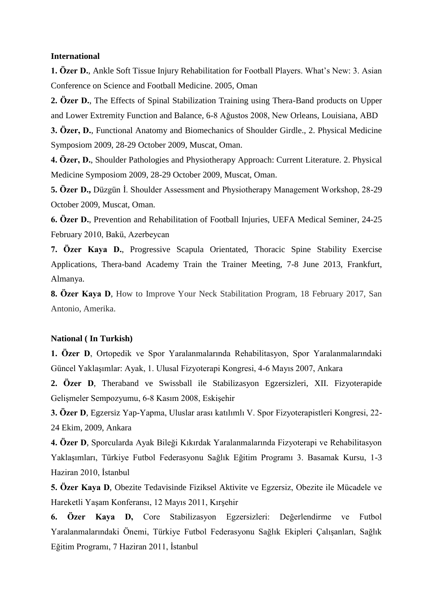#### **International**

**1. Özer D.**, Ankle Soft Tissue Injury Rehabilitation for Football Players. What's New: 3. Asian Conference on Science and Football Medicine. 2005, Oman

**2. Özer D.**, The Effects of Spinal Stabilization Training using Thera-Band products on Upper and Lower Extremity Function and Balance, 6-8 Ağustos 2008, New Orleans, Louisiana, ABD

**3. Özer, D.**, Functional Anatomy and Biomechanics of Shoulder Girdle., 2. Physical Medicine Symposiom 2009, 28-29 October 2009, Muscat, Oman.

**4. Özer, D.**, Shoulder Pathologies and Physiotherapy Approach: Current Literature. 2. Physical Medicine Symposiom 2009, 28-29 October 2009, Muscat, Oman.

**5. Özer D.,** Düzgün İ. Shoulder Assessment and Physiotherapy Management Workshop, 28-29 October 2009, Muscat, Oman.

**6. Özer D.**, Prevention and Rehabilitation of Football Injuries, UEFA Medical Seminer, 24-25 February 2010, Bakü, Azerbeycan

**7. Özer Kaya D.**, Progressive Scapula Orientated, Thoracic Spine Stability Exercise Applications, Thera-band Academy Train the Trainer Meeting, 7-8 June 2013, Frankfurt, Almanya.

**8. Özer Kaya D**, How to Improve Your Neck Stabilitation Program, 18 February 2017, San Antonio, Amerika.

#### **National ( In Turkish)**

**1. Özer D**, Ortopedik ve Spor Yaralanmalarında Rehabilitasyon, Spor Yaralanmalarındaki Güncel Yaklaşımlar: Ayak, 1. Ulusal Fizyoterapi Kongresi, 4-6 Mayıs 2007, Ankara

**2. Özer D**, Theraband ve Swissball ile Stabilizasyon Egzersizleri, XII. Fizyoterapide Gelişmeler Sempozyumu, 6-8 Kasım 2008, Eskişehir

**3. Özer D**, Egzersiz Yap-Yapma, Uluslar arası katılımlı V. Spor Fizyoterapistleri Kongresi, 22- 24 Ekim, 2009, Ankara

**4. Özer D**, Sporcularda Ayak Bileği Kıkırdak Yaralanmalarında Fizyoterapi ve Rehabilitasyon Yaklaşımları, Türkiye Futbol Federasyonu Sağlık Eğitim Programı 3. Basamak Kursu, 1-3 Haziran 2010, İstanbul

**5. Özer Kaya D**, Obezite Tedavisinde Fiziksel Aktivite ve Egzersiz, Obezite ile Mücadele ve Hareketli Yaşam Konferansı, 12 Mayıs 2011, Kırşehir

**6. Özer Kaya D,** Core Stabilizasyon Egzersizleri: Değerlendirme ve Futbol Yaralanmalarındaki Önemi, Türkiye Futbol Federasyonu Sağlık Ekipleri Çalışanları, Sağlık Eğitim Programı, 7 Haziran 2011, İstanbul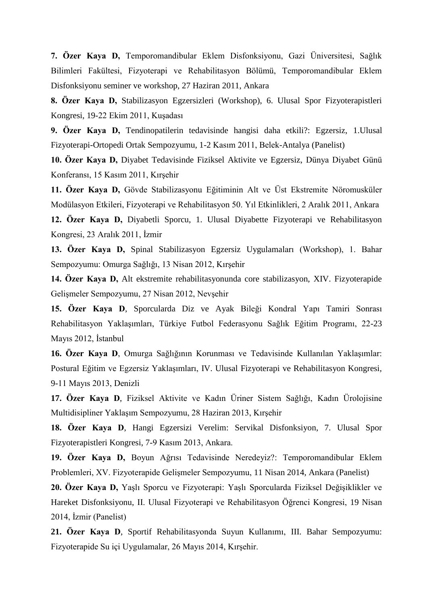**7. Özer Kaya D,** Temporomandibular Eklem Disfonksiyonu, Gazi Üniversitesi, Sağlık Bilimleri Fakültesi, Fizyoterapi ve Rehabilitasyon Bölümü, Temporomandibular Eklem Disfonksiyonu seminer ve workshop, 27 Haziran 2011, Ankara

**8. Özer Kaya D,** Stabilizasyon Egzersizleri (Workshop), 6. Ulusal Spor Fizyoterapistleri Kongresi, 19-22 Ekim 2011, Kuşadası

**9. Özer Kaya D,** Tendinopatilerin tedavisinde hangisi daha etkili?: Egzersiz, 1.Ulusal Fizyoterapi-Ortopedi Ortak Sempozyumu, 1-2 Kasım 2011, Belek-Antalya (Panelist)

**10. Özer Kaya D,** Diyabet Tedavisinde Fiziksel Aktivite ve Egzersiz, Dünya Diyabet Günü Konferansı, 15 Kasım 2011, Kırşehir

**11. Özer Kaya D,** Gövde Stabilizasyonu Eğitiminin Alt ve Üst Ekstremite Nöromusküler Modülasyon Etkileri, Fizyoterapi ve Rehabilitasyon 50. Yıl Etkinlikleri, 2 Aralık 2011, Ankara

**12. Özer Kaya D,** Diyabetli Sporcu, 1. Ulusal Diyabette Fizyoterapi ve Rehabilitasyon Kongresi, 23 Aralık 2011, İzmir

**13. Özer Kaya D,** Spinal Stabilizasyon Egzersiz Uygulamaları (Workshop), 1. Bahar Sempozyumu: Omurga Sağlığı, 13 Nisan 2012, Kırşehir

**14. Özer Kaya D,** Alt ekstremite rehabilitasyonunda core stabilizasyon, XIV. Fizyoterapide Gelişmeler Sempozyumu, 27 Nisan 2012, Nevşehir

**15. Özer Kaya D**, Sporcularda Diz ve Ayak Bileği Kondral Yapı Tamiri Sonrası Rehabilitasyon Yaklaşımları, Türkiye Futbol Federasyonu Sağlık Eğitim Programı, 22-23 Mayıs 2012, İstanbul

**16. Özer Kaya D**, Omurga Sağlığının Korunması ve Tedavisinde Kullanılan Yaklaşımlar: Postural Eğitim ve Egzersiz Yaklaşımları, IV. Ulusal Fizyoterapi ve Rehabilitasyon Kongresi, 9-11 Mayıs 2013, Denizli

**17. Özer Kaya D**, Fiziksel Aktivite ve Kadın Üriner Sistem Sağlığı, Kadın Ürolojisine Multidisipliner Yaklaşım Sempozyumu, 28 Haziran 2013, Kırşehir

**18. Özer Kaya D**, Hangi Egzersizi Verelim: Servikal Disfonksiyon, 7. Ulusal Spor Fizyoterapistleri Kongresi, 7-9 Kasım 2013, Ankara.

**19. Özer Kaya D,** Boyun Ağrısı Tedavisinde Neredeyiz?: Temporomandibular Eklem Problemleri, XV. Fizyoterapide Gelişmeler Sempozyumu, 11 Nisan 2014, Ankara (Panelist)

**20. Özer Kaya D,** Yaşlı Sporcu ve Fizyoterapi: Yaşlı Sporcularda Fiziksel Değişiklikler ve Hareket Disfonksiyonu, II. Ulusal Fizyoterapi ve Rehabilitasyon Öğrenci Kongresi, 19 Nisan 2014, İzmir (Panelist)

**21. Özer Kaya D**, Sportif Rehabilitasyonda Suyun Kullanımı, III. Bahar Sempozyumu: Fizyoterapide Su içi Uygulamalar, 26 Mayıs 2014, Kırşehir.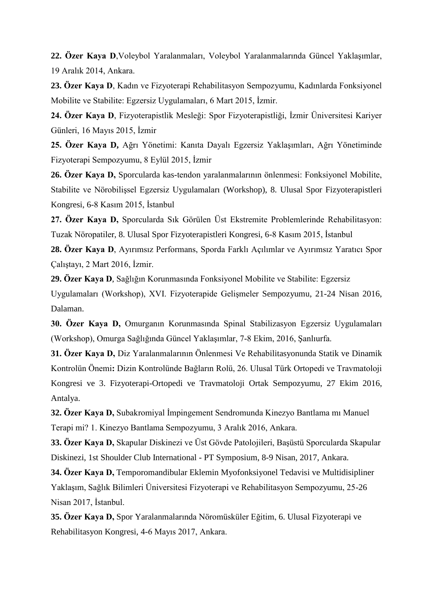**22. Özer Kaya D**,Voleybol Yaralanmaları, Voleybol Yaralanmalarında Güncel Yaklaşımlar, 19 Aralık 2014, Ankara.

**23. Özer Kaya D**, Kadın ve Fizyoterapi Rehabilitasyon Sempozyumu, Kadınlarda Fonksiyonel Mobilite ve Stabilite: Egzersiz Uygulamaları, 6 Mart 2015, İzmir.

**24. Özer Kaya D**, Fizyoterapistlik Mesleği: Spor Fizyoterapistliği, İzmir Üniversitesi Kariyer Günleri, 16 Mayıs 2015, İzmir

**25. Özer Kaya D,** Ağrı Yönetimi: Kanıta Dayalı Egzersiz Yaklaşımları, Ağrı Yönetiminde Fizyoterapi Sempozyumu, 8 Eylül 2015, İzmir

**26. Özer Kaya D,** Sporcularda kas-tendon yaralanmalarının önlenmesi: Fonksiyonel Mobilite, Stabilite ve Nörobilişsel Egzersiz Uygulamaları (Workshop), 8. Ulusal Spor Fizyoterapistleri Kongresi, 6-8 Kasım 2015, İstanbul

**27. Özer Kaya D,** Sporcularda Sık Görülen Üst Ekstremite Problemlerinde Rehabilitasyon: Tuzak Nöropatiler, 8. Ulusal Spor Fizyoterapistleri Kongresi, 6-8 Kasım 2015, İstanbul

**28. Özer Kaya D**, Ayırımsız Performans, Sporda Farklı Açılımlar ve Ayırımsız Yaratıcı Spor Çalıştayı, 2 Mart 2016, İzmir.

**29. Özer Kaya D**, Sağlığın Korunmasında Fonksiyonel Mobilite ve Stabilite: Egzersiz Uygulamaları (Workshop), XVI. Fizyoterapide Gelişmeler Sempozyumu, 21-24 Nisan 2016, Dalaman.

**30. Özer Kaya D,** Omurganın Korunmasında Spinal Stabilizasyon Egzersiz Uygulamaları (Workshop), Omurga Sağlığında Güncel Yaklaşımlar, 7-8 Ekim, 2016, Şanlıurfa.

**31. Özer Kaya D,** Diz Yaralanmalarının Önlenmesi Ve Rehabilitasyonunda Statik ve Dinamik Kontrolün Önemi**:** Dizin Kontrolünde Bağların Rolü, 26. Ulusal Türk Ortopedi ve Travmatoloji Kongresi ve 3. Fizyoterapi-Ortopedi ve Travmatoloji Ortak Sempozyumu, 27 Ekim 2016, Antalya.

**32. Özer Kaya D,** Subakromiyal İmpingement Sendromunda Kinezyo Bantlama mı Manuel Terapi mi? 1. Kinezyo Bantlama Sempozyumu, 3 Aralık 2016, Ankara.

**33. Özer Kaya D,** Skapular Diskinezi ve Üst Gövde Patolojileri, Başüstü Sporcularda Skapular Diskinezi, 1st Shoulder Club International - PT Symposium, 8-9 Nisan, 2017, Ankara.

**34. Özer Kaya D,** Temporomandibular Eklemin Myofonksiyonel Tedavisi ve Multidisipliner Yaklaşım, Sağlık Bilimleri Üniversitesi Fizyoterapi ve Rehabilitasyon Sempozyumu, 25-26 Nisan 2017, İstanbul.

**35. Özer Kaya D,** Spor Yaralanmalarında Nöromüsküler Eğitim, 6. Ulusal Fizyoterapi ve Rehabilitasyon Kongresi, 4-6 Mayıs 2017, Ankara.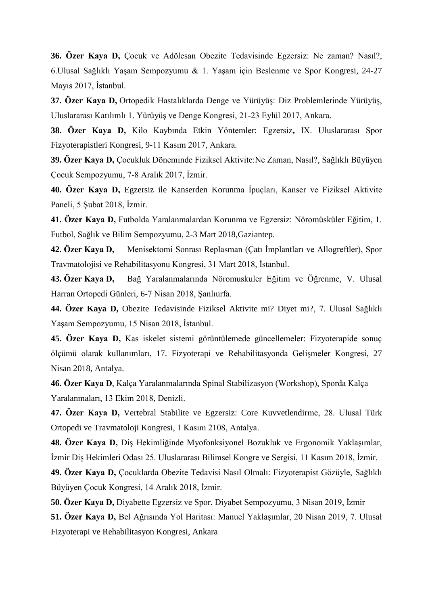**36. Özer Kaya D,** Çocuk ve Adölesan Obezite Tedavisinde Egzersiz: Ne zaman? Nasıl?, 6.Ulusal Sağlıklı Yaşam Sempozyumu & 1. Yaşam için Beslenme ve Spor Kongresi, 24-27 Mayıs 2017, İstanbul.

**37. Özer Kaya D,** Ortopedik Hastalıklarda Denge ve Yürüyüş: Diz Problemlerinde Yürüyüş, Uluslararası Katılımlı 1. Yürüyüş ve Denge Kongresi, 21-23 Eylül 2017, Ankara.

**38. Özer Kaya D,** Kilo Kaybında Etkin Yöntemler: Egzersiz**,** IX. Uluslararası Spor Fizyoterapistleri Kongresi, 9-11 Kasım 2017, Ankara.

**39. Özer Kaya D,** Çocukluk Döneminde Fiziksel Aktivite:Ne Zaman, Nasıl?, Sağlıklı Büyüyen Çocuk Sempozyumu, 7-8 Aralık 2017, İzmir.

**40. Özer Kaya D,** Egzersiz ile Kanserden Korunma İpuçları, Kanser ve Fiziksel Aktivite Paneli, 5 Şubat 2018, İzmir.

**41. Özer Kaya D,** Futbolda Yaralanmalardan Korunma ve Egzersiz: Nöromüsküler Eğitim, 1. Futbol, Sağlık ve Bilim Sempozyumu, 2-3 Mart 2018,Gaziantep.

**42. Özer Kaya D,** Menisektomi Sonrası Replasman (Çatı İmplantları ve Allogreftler), Spor Travmatolojisi ve Rehabilitasyonu Kongresi, 31 Mart 2018, İstanbul.

**43. Özer Kaya D,** Bağ Yaralanmalarında Nöromuskuler Eğitim ve Öğrenme, V. Ulusal Harran Ortopedi Günleri, 6-7 Nisan 2018, Şanlıurfa.

**44. Özer Kaya D,** Obezite Tedavisinde Fiziksel Aktivite mi? Diyet mi?, 7. Ulusal Sağlıklı Yaşam Sempozyumu, 15 Nisan 2018, İstanbul.

**45. Özer Kaya D,** Kas iskelet sistemi görüntülemede güncellemeler: Fizyoterapide sonuç ölçümü olarak kullanımları, 17. Fizyoterapi ve Rehabilitasyonda Gelişmeler Kongresi, 27 Nisan 2018, Antalya.

**46. Özer Kaya D**, Kalça Yaralanmalarında Spinal Stabilizasyon (Workshop), Sporda Kalça Yaralanmaları, 13 Ekim 2018, Denizli.

**47. Özer Kaya D,** Vertebral Stabilite ve Egzersiz: Core Kuvvetlendirme, 28. Ulusal Türk Ortopedi ve Travmatoloji Kongresi, 1 Kasım 2108, Antalya.

**48. Özer Kaya D,** Diş Hekimliğinde Myofonksiyonel Bozukluk ve Ergonomik Yaklaşımlar, İzmir Diş Hekimleri Odası 25. Uluslararası Bilimsel Kongre ve Sergisi, 11 Kasım 2018, İzmir.

**49. Özer Kaya D,** Çocuklarda Obezite Tedavisi Nasıl Olmalı: Fizyoterapist Gözüyle, Sağlıklı Büyüyen Çocuk Kongresi, 14 Aralık 2018, İzmir.

**50. Özer Kaya D,** Diyabette Egzersiz ve Spor, Diyabet Sempozyumu, 3 Nisan 2019, İzmir

**51. Özer Kaya D,** Bel Ağrısında Yol Haritası: Manuel Yaklaşımlar, 20 Nisan 2019, 7. Ulusal Fizyoterapi ve Rehabilitasyon Kongresi, Ankara